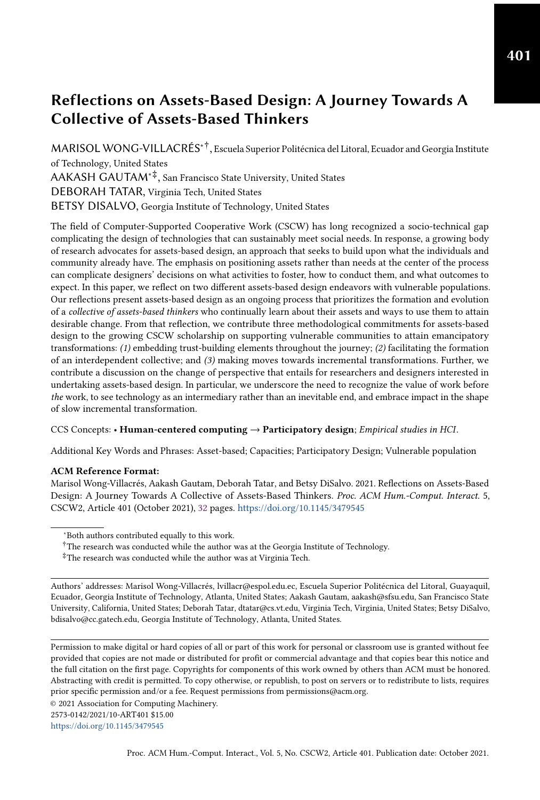# Reflections on Assets-Based Design: A Journey Towards A Collective of Assets-Based Thinkers

MARISOL WONG-VILLACRÉS∗† , Escuela Superior Politécnica del Litoral, Ecuador and Georgia Institute of Technology, United States AAKASH GAUTAM∗‡ , San Francisco State University, United States DEBORAH TATAR, Virginia Tech, United States BETSY DISALVO, Georgia Institute of Technology, United States

The field of Computer-Supported Cooperative Work (CSCW) has long recognized a socio-technical gap complicating the design of technologies that can sustainably meet social needs. In response, a growing body of research advocates for assets-based design, an approach that seeks to build upon what the individuals and community already have. The emphasis on positioning assets rather than needs at the center of the process can complicate designers' decisions on what activities to foster, how to conduct them, and what outcomes to expect. In this paper, we reflect on two different assets-based design endeavors with vulnerable populations. Our reflections present assets-based design as an ongoing process that prioritizes the formation and evolution of a collective of assets-based thinkers who continually learn about their assets and ways to use them to attain desirable change. From that reflection, we contribute three methodological commitments for assets-based design to the growing CSCW scholarship on supporting vulnerable communities to attain emancipatory transformations: (1) embedding trust-building elements throughout the journey; (2) facilitating the formation of an interdependent collective; and (3) making moves towards incremental transformations. Further, we contribute a discussion on the change of perspective that entails for researchers and designers interested in undertaking assets-based design. In particular, we underscore the need to recognize the value of work before the work, to see technology as an intermediary rather than an inevitable end, and embrace impact in the shape of slow incremental transformation.

#### CCS Concepts: • Human-centered computing → Participatory design; Empirical studies in HCI.

Additional Key Words and Phrases: Asset-based; Capacities; Participatory Design; Vulnerable population

#### ACM Reference Format:

Marisol Wong-Villacrés, Aakash Gautam, Deborah Tatar, and Betsy DiSalvo. 2021. Reflections on Assets-Based Design: A Journey Towards A Collective of Assets-Based Thinkers. Proc. ACM Hum.-Comput. Interact. 5, CSCW2, Article 401 (October 2021), [32](#page-31-0) pages. <https://doi.org/10.1145/3479545>

© 2021 Association for Computing Machinery.

2573-0142/2021/10-ART401 \$15.00

<https://doi.org/10.1145/3479545>

<sup>∗</sup>Both authors contributed equally to this work.

<sup>&</sup>lt;sup>†</sup>The research was conducted while the author was at the Georgia Institute of Technology.

<sup>‡</sup>The research was conducted while the author was at Virginia Tech.

Authors' addresses: Marisol Wong-Villacrés, lvillacr@espol.edu.ec, Escuela Superior Politécnica del Litoral, Guayaquil, Ecuador, Georgia Institute of Technology, Atlanta, United States; Aakash Gautam, aakash@sfsu.edu, San Francisco State University, California, United States; Deborah Tatar, dtatar@cs.vt.edu, Virginia Tech, Virginia, United States; Betsy DiSalvo, bdisalvo@cc.gatech.edu, Georgia Institute of Technology, Atlanta, United States.

Permission to make digital or hard copies of all or part of this work for personal or classroom use is granted without fee provided that copies are not made or distributed for profit or commercial advantage and that copies bear this notice and the full citation on the first page. Copyrights for components of this work owned by others than ACM must be honored. Abstracting with credit is permitted. To copy otherwise, or republish, to post on servers or to redistribute to lists, requires prior specific permission and/or a fee. Request permissions from permissions@acm.org.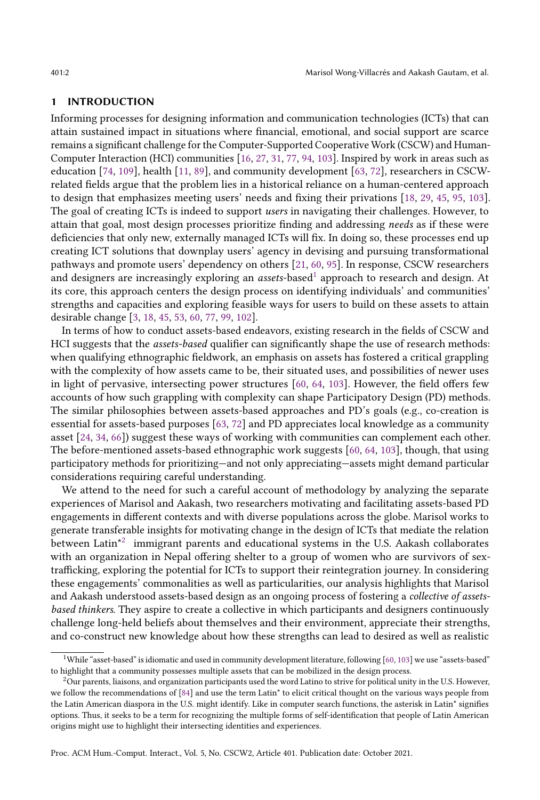#### 1 INTRODUCTION

Informing processes for designing information and communication technologies (ICTs) that can attain sustained impact in situations where financial, emotional, and social support are scarce remains a significant challenge for the Computer-Supported Cooperative Work (CSCW) and Human-Computer Interaction (HCI) communities [\[16,](#page-27-0) [27,](#page-28-0) [31,](#page-28-1) [77,](#page-29-0) [94,](#page-30-0) [103\]](#page-30-1). Inspired by work in areas such as education [\[74,](#page-29-1) [109\]](#page-31-1), health [\[11,](#page-27-1) [89\]](#page-30-2), and community development [\[63,](#page-29-2) [72\]](#page-29-3), researchers in CSCWrelated fields argue that the problem lies in a historical reliance on a human-centered approach to design that emphasizes meeting users' needs and fixing their privations [\[18,](#page-27-2) [29,](#page-28-2) [45,](#page-28-3) [95,](#page-30-3) [103\]](#page-30-1). The goal of creating ICTs is indeed to support users in navigating their challenges. However, to attain that goal, most design processes prioritize finding and addressing needs as if these were deficiencies that only new, externally managed ICTs will fix. In doing so, these processes end up creating ICT solutions that downplay users' agency in devising and pursuing transformational pathways and promote users' dependency on others [\[21,](#page-27-3) [60,](#page-29-4) [95\]](#page-30-3). In response, CSCW researchers and designers are increasingly exploring an *assets*-based<sup>[1](#page-1-0)</sup> approach to research and design. At its core, this approach centers the design process on identifying individuals' and communities' strengths and capacities and exploring feasible ways for users to build on these assets to attain desirable change [\[3,](#page-27-4) [18,](#page-27-2) [45,](#page-28-3) [53,](#page-29-5) [60,](#page-29-4) [77,](#page-29-0) [99,](#page-30-4) [102\]](#page-30-5).

In terms of how to conduct assets-based endeavors, existing research in the fields of CSCW and HCI suggests that the assets-based qualifier can significantly shape the use of research methods: when qualifying ethnographic fieldwork, an emphasis on assets has fostered a critical grappling with the complexity of how assets came to be, their situated uses, and possibilities of newer uses in light of pervasive, intersecting power structures [\[60,](#page-29-4) [64,](#page-29-6) [103\]](#page-30-1). However, the field offers few accounts of how such grappling with complexity can shape Participatory Design (PD) methods. The similar philosophies between assets-based approaches and PD's goals (e.g., co-creation is essential for assets-based purposes [\[63,](#page-29-2) [72\]](#page-29-3) and PD appreciates local knowledge as a community asset [\[24,](#page-27-5) [34,](#page-28-4) [66\]](#page-29-7)) suggest these ways of working with communities can complement each other. The before-mentioned assets-based ethnographic work suggests [\[60,](#page-29-4) [64,](#page-29-6) [103\]](#page-30-1), though, that using participatory methods for prioritizing—and not only appreciating—assets might demand particular considerations requiring careful understanding.

We attend to the need for such a careful account of methodology by analyzing the separate experiences of Marisol and Aakash, two researchers motivating and facilitating assets-based PD engagements in different contexts and with diverse populations across the globe. Marisol works to generate transferable insights for motivating change in the design of ICTs that mediate the relation  $\rm \tilde{b}$ etween Latin $^{\star 2}$  $^{\star 2}$  $^{\star 2}$  immigrant parents and educational systems in the U.S. Aakash collaborates with an organization in Nepal offering shelter to a group of women who are survivors of sextrafficking, exploring the potential for ICTs to support their reintegration journey. In considering these engagements' commonalities as well as particularities, our analysis highlights that Marisol and Aakash understood assets-based design as an ongoing process of fostering a collective of assetsbased thinkers. They aspire to create a collective in which participants and designers continuously challenge long-held beliefs about themselves and their environment, appreciate their strengths, and co-construct new knowledge about how these strengths can lead to desired as well as realistic

Proc. ACM Hum.-Comput. Interact., Vol. 5, No. CSCW2, Article 401. Publication date: October 2021.

<span id="page-1-0"></span> $1$ While "asset-based" is idiomatic and used in community development literature, following [\[60,](#page-29-4) [103\]](#page-30-1) we use "assets-based" to highlight that a community possesses multiple assets that can be mobilized in the design process.

<span id="page-1-1"></span> $2$ Our parents, liaisons, and organization participants used the word Latino to strive for political unity in the U.S. However, we follow the recommendations of [\[84\]](#page-30-6) and use the term Latin\* to elicit critical thought on the various ways people from the Latin American diaspora in the U.S. might identify. Like in computer search functions, the asterisk in Latin\* signifies options. Thus, it seeks to be a term for recognizing the multiple forms of self-identification that people of Latin American origins might use to highlight their intersecting identities and experiences.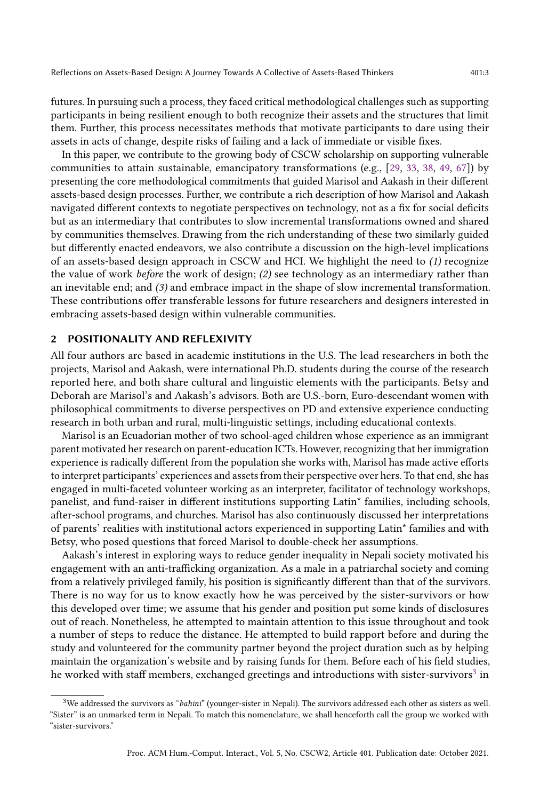futures. In pursuing such a process, they faced critical methodological challenges such as supporting participants in being resilient enough to both recognize their assets and the structures that limit them. Further, this process necessitates methods that motivate participants to dare using their assets in acts of change, despite risks of failing and a lack of immediate or visible fixes.

In this paper, we contribute to the growing body of CSCW scholarship on supporting vulnerable communities to attain sustainable, emancipatory transformations (e.g., [\[29,](#page-28-2) [33,](#page-28-5) [38,](#page-28-6) [49,](#page-28-7) [67\]](#page-29-8)) by presenting the core methodological commitments that guided Marisol and Aakash in their different assets-based design processes. Further, we contribute a rich description of how Marisol and Aakash navigated different contexts to negotiate perspectives on technology, not as a fix for social deficits but as an intermediary that contributes to slow incremental transformations owned and shared by communities themselves. Drawing from the rich understanding of these two similarly guided but differently enacted endeavors, we also contribute a discussion on the high-level implications of an assets-based design approach in CSCW and HCI. We highlight the need to (1) recognize the value of work before the work of design; (2) see technology as an intermediary rather than an inevitable end; and (3) and embrace impact in the shape of slow incremental transformation. These contributions offer transferable lessons for future researchers and designers interested in embracing assets-based design within vulnerable communities.

## 2 POSITIONALITY AND REFLEXIVITY

All four authors are based in academic institutions in the U.S. The lead researchers in both the projects, Marisol and Aakash, were international Ph.D. students during the course of the research reported here, and both share cultural and linguistic elements with the participants. Betsy and Deborah are Marisol's and Aakash's advisors. Both are U.S.-born, Euro-descendant women with philosophical commitments to diverse perspectives on PD and extensive experience conducting research in both urban and rural, multi-linguistic settings, including educational contexts.

Marisol is an Ecuadorian mother of two school-aged children whose experience as an immigrant parent motivated her research on parent-education ICTs. However, recognizing that her immigration experience is radically different from the population she works with, Marisol has made active efforts to interpret participants' experiences and assets from their perspective over hers. To that end, she has engaged in multi-faceted volunteer working as an interpreter, facilitator of technology workshops, panelist, and fund-raiser in different institutions supporting Latin\* families, including schools, after-school programs, and churches. Marisol has also continuously discussed her interpretations of parents' realities with institutional actors experienced in supporting Latin\* families and with Betsy, who posed questions that forced Marisol to double-check her assumptions.

Aakash's interest in exploring ways to reduce gender inequality in Nepali society motivated his engagement with an anti-trafficking organization. As a male in a patriarchal society and coming from a relatively privileged family, his position is significantly different than that of the survivors. There is no way for us to know exactly how he was perceived by the sister-survivors or how this developed over time; we assume that his gender and position put some kinds of disclosures out of reach. Nonetheless, he attempted to maintain attention to this issue throughout and took a number of steps to reduce the distance. He attempted to build rapport before and during the study and volunteered for the community partner beyond the project duration such as by helping maintain the organization's website and by raising funds for them. Before each of his field studies, he worked with staff members, exchanged greetings and introductions with sister-survivors<sup>[3](#page-2-0)</sup> in

<span id="page-2-0"></span> $3$ We addressed the survivors as "bahini" (younger-sister in Nepali). The survivors addressed each other as sisters as well. "Sister" is an unmarked term in Nepali. To match this nomenclature, we shall henceforth call the group we worked with "sister-survivors."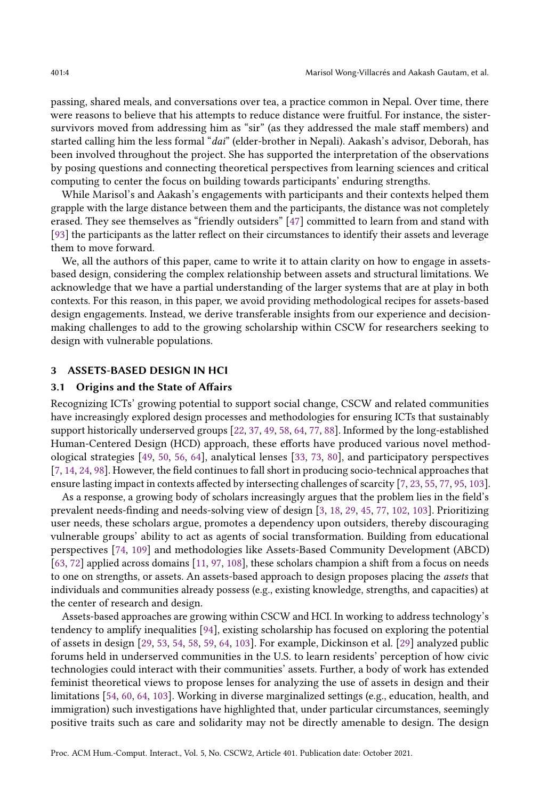passing, shared meals, and conversations over tea, a practice common in Nepal. Over time, there were reasons to believe that his attempts to reduce distance were fruitful. For instance, the sistersurvivors moved from addressing him as "sir" (as they addressed the male staff members) and started calling him the less formal "dai" (elder-brother in Nepali). Aakash's advisor, Deborah, has been involved throughout the project. She has supported the interpretation of the observations by posing questions and connecting theoretical perspectives from learning sciences and critical computing to center the focus on building towards participants' enduring strengths.

While Marisol's and Aakash's engagements with participants and their contexts helped them grapple with the large distance between them and the participants, the distance was not completely erased. They see themselves as "friendly outsiders" [\[47\]](#page-28-8) committed to learn from and stand with [\[93\]](#page-30-7) the participants as the latter reflect on their circumstances to identify their assets and leverage them to move forward.

We, all the authors of this paper, came to write it to attain clarity on how to engage in assetsbased design, considering the complex relationship between assets and structural limitations. We acknowledge that we have a partial understanding of the larger systems that are at play in both contexts. For this reason, in this paper, we avoid providing methodological recipes for assets-based design engagements. Instead, we derive transferable insights from our experience and decisionmaking challenges to add to the growing scholarship within CSCW for researchers seeking to design with vulnerable populations.

#### 3 ASSETS-BASED DESIGN IN HCI

# 3.1 Origins and the State of Affairs

Recognizing ICTs' growing potential to support social change, CSCW and related communities have increasingly explored design processes and methodologies for ensuring ICTs that sustainably support historically underserved groups [\[22,](#page-27-6) [37,](#page-28-9) [49,](#page-28-7) [58,](#page-29-9) [64,](#page-29-6) [77,](#page-29-0) [88\]](#page-30-8). Informed by the long-established Human-Centered Design (HCD) approach, these efforts have produced various novel methodological strategies [\[49,](#page-28-7) [50,](#page-28-10) [56,](#page-29-10) [64\]](#page-29-6), analytical lenses [\[33,](#page-28-5) [73,](#page-29-11) [80\]](#page-30-9), and participatory perspectives [\[7,](#page-27-7) [14,](#page-27-8) [24,](#page-27-5) [98\]](#page-30-10). However, the field continues to fall short in producing socio-technical approaches that ensure lasting impact in contexts affected by intersecting challenges of scarcity [\[7,](#page-27-7) [23,](#page-27-9) [55,](#page-29-12) [77,](#page-29-0) [95,](#page-30-3) [103\]](#page-30-1).

As a response, a growing body of scholars increasingly argues that the problem lies in the field's prevalent needs-finding and needs-solving view of design [\[3,](#page-27-4) [18,](#page-27-2) [29,](#page-28-2) [45,](#page-28-3) [77,](#page-29-0) [102,](#page-30-5) [103\]](#page-30-1). Prioritizing user needs, these scholars argue, promotes a dependency upon outsiders, thereby discouraging vulnerable groups' ability to act as agents of social transformation. Building from educational perspectives [\[74,](#page-29-1) [109\]](#page-31-1) and methodologies like Assets-Based Community Development (ABCD) [\[63,](#page-29-2) [72\]](#page-29-3) applied across domains [\[11,](#page-27-1) [97,](#page-30-11) [108\]](#page-31-2), these scholars champion a shift from a focus on needs to one on strengths, or assets. An assets-based approach to design proposes placing the assets that individuals and communities already possess (e.g., existing knowledge, strengths, and capacities) at the center of research and design.

Assets-based approaches are growing within CSCW and HCI. In working to address technology's tendency to amplify inequalities [\[94\]](#page-30-0), existing scholarship has focused on exploring the potential of assets in design [\[29,](#page-28-2) [53,](#page-29-5) [54,](#page-29-13) [58,](#page-29-9) [59,](#page-29-14) [64,](#page-29-6) [103\]](#page-30-1). For example, Dickinson et al. [\[29\]](#page-28-2) analyzed public forums held in underserved communities in the U.S. to learn residents' perception of how civic technologies could interact with their communities' assets. Further, a body of work has extended feminist theoretical views to propose lenses for analyzing the use of assets in design and their limitations [\[54,](#page-29-13) [60,](#page-29-4) [64,](#page-29-6) [103\]](#page-30-1). Working in diverse marginalized settings (e.g., education, health, and immigration) such investigations have highlighted that, under particular circumstances, seemingly positive traits such as care and solidarity may not be directly amenable to design. The design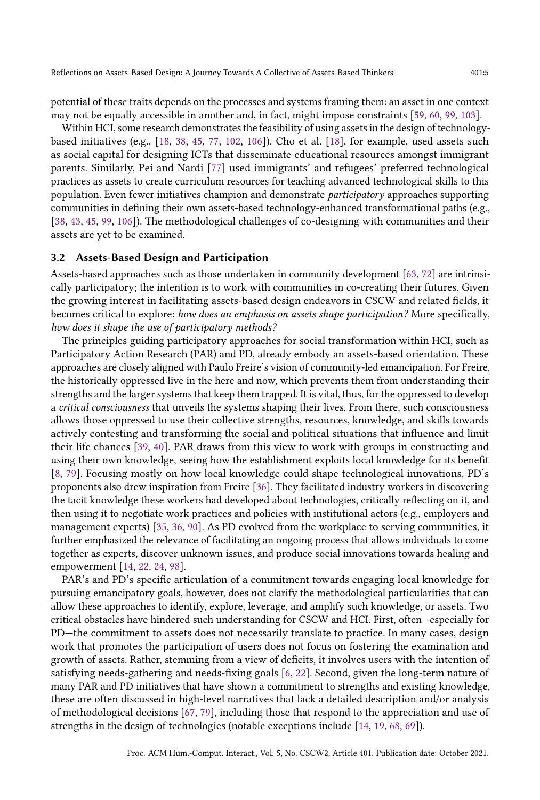potential of these traits depends on the processes and systems framing them: an asset in one context may not be equally accessible in another and, in fact, might impose constraints [\[59,](#page-29-14) [60,](#page-29-4) [99,](#page-30-4) [103\]](#page-30-1).

Within HCI, some research demonstrates the feasibility of using assets in the design of technologybased initiatives (e.g., [\[18,](#page-27-2) [38,](#page-28-6) [45,](#page-28-3) [77,](#page-29-0) [102,](#page-30-5) [106\]](#page-31-3)). Cho et al. [\[18\]](#page-27-2), for example, used assets such as social capital for designing ICTs that disseminate educational resources amongst immigrant parents. Similarly, Pei and Nardi [\[77\]](#page-29-0) used immigrants' and refugees' preferred technological practices as assets to create curriculum resources for teaching advanced technological skills to this population. Even fewer initiatives champion and demonstrate participatory approaches supporting communities in defining their own assets-based technology-enhanced transformational paths (e.g., [\[38,](#page-28-6) [43,](#page-28-11) [45,](#page-28-3) [99,](#page-30-4) [106\]](#page-31-3)). The methodological challenges of co-designing with communities and their assets are yet to be examined.

#### 3.2 Assets-Based Design and Participation

Assets-based approaches such as those undertaken in community development [\[63,](#page-29-2) [72\]](#page-29-3) are intrinsically participatory; the intention is to work with communities in co-creating their futures. Given the growing interest in facilitating assets-based design endeavors in CSCW and related fields, it becomes critical to explore: how does an emphasis on assets shape participation? More specifically, how does it shape the use of participatory methods?

The principles guiding participatory approaches for social transformation within HCI, such as Participatory Action Research (PAR) and PD, already embody an assets-based orientation. These approaches are closely aligned with Paulo Freire's vision of community-led emancipation. For Freire, the historically oppressed live in the here and now, which prevents them from understanding their strengths and the larger systems that keep them trapped. It is vital, thus, for the oppressed to develop a critical consciousness that unveils the systems shaping their lives. From there, such consciousness allows those oppressed to use their collective strengths, resources, knowledge, and skills towards actively contesting and transforming the social and political situations that influence and limit their life chances [\[39,](#page-28-12) [40\]](#page-28-13). PAR draws from this view to work with groups in constructing and using their own knowledge, seeing how the establishment exploits local knowledge for its benefit [\[8,](#page-27-10) [79\]](#page-30-12). Focusing mostly on how local knowledge could shape technological innovations, PD's proponents also drew inspiration from Freire [\[36\]](#page-28-14). They facilitated industry workers in discovering the tacit knowledge these workers had developed about technologies, critically reflecting on it, and then using it to negotiate work practices and policies with institutional actors (e.g., employers and management experts) [\[35,](#page-28-15) [36,](#page-28-14) [90\]](#page-30-13). As PD evolved from the workplace to serving communities, it further emphasized the relevance of facilitating an ongoing process that allows individuals to come together as experts, discover unknown issues, and produce social innovations towards healing and empowerment [\[14,](#page-27-8) [22,](#page-27-6) [24,](#page-27-5) [98\]](#page-30-10).

PAR's and PD's specific articulation of a commitment towards engaging local knowledge for pursuing emancipatory goals, however, does not clarify the methodological particularities that can allow these approaches to identify, explore, leverage, and amplify such knowledge, or assets. Two critical obstacles have hindered such understanding for CSCW and HCI. First, often—especially for PD—the commitment to assets does not necessarily translate to practice. In many cases, design work that promotes the participation of users does not focus on fostering the examination and growth of assets. Rather, stemming from a view of deficits, it involves users with the intention of satisfying needs-gathering and needs-fixing goals [\[6,](#page-27-11) [22\]](#page-27-6). Second, given the long-term nature of many PAR and PD initiatives that have shown a commitment to strengths and existing knowledge, these are often discussed in high-level narratives that lack a detailed description and/or analysis of methodological decisions [\[67,](#page-29-8) [79\]](#page-30-12), including those that respond to the appreciation and use of strengths in the design of technologies (notable exceptions include [\[14,](#page-27-8) [19,](#page-27-12) [68,](#page-29-15) [69\]](#page-29-16)).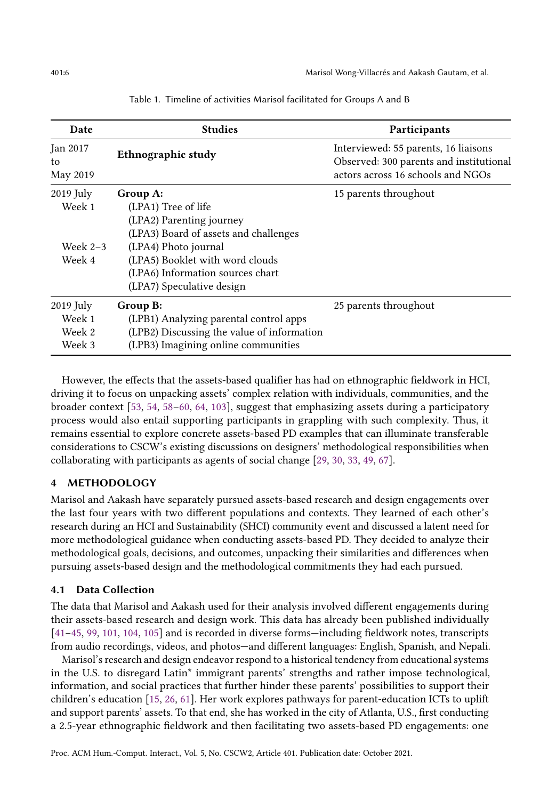<span id="page-5-0"></span>

| Date                       | <b>Studies</b>                             | Participants                                                                                                         |
|----------------------------|--------------------------------------------|----------------------------------------------------------------------------------------------------------------------|
| Jan 2017<br>to<br>May 2019 | Ethnographic study                         | Interviewed: 55 parents, 16 liaisons<br>Observed: 300 parents and institutional<br>actors across 16 schools and NGOs |
| $2019$ July                | Group A:                                   | 15 parents throughout                                                                                                |
| Week 1                     | (LPA1) Tree of life                        |                                                                                                                      |
|                            | (LPA2) Parenting journey                   |                                                                                                                      |
|                            | (LPA3) Board of assets and challenges      |                                                                                                                      |
| Week $2-3$                 | (LPA4) Photo journal                       |                                                                                                                      |
| Week 4                     | (LPA5) Booklet with word clouds            |                                                                                                                      |
|                            | (LPA6) Information sources chart           |                                                                                                                      |
|                            | (LPA7) Speculative design                  |                                                                                                                      |
| $2019$ July                | Group B:                                   | 25 parents throughout                                                                                                |
| Week 1                     | (LPB1) Analyzing parental control apps     |                                                                                                                      |
| Week 2                     | (LPB2) Discussing the value of information |                                                                                                                      |
| Week 3                     | (LPB3) Imagining online communities        |                                                                                                                      |

Table 1. Timeline of activities Marisol facilitated for Groups A and B

However, the effects that the assets-based qualifier has had on ethnographic fieldwork in HCI, driving it to focus on unpacking assets' complex relation with individuals, communities, and the broader context [\[53,](#page-29-5) [54,](#page-29-13) [58](#page-29-9)[–60,](#page-29-4) [64,](#page-29-6) [103\]](#page-30-1), suggest that emphasizing assets during a participatory process would also entail supporting participants in grappling with such complexity. Thus, it remains essential to explore concrete assets-based PD examples that can illuminate transferable considerations to CSCW's existing discussions on designers' methodological responsibilities when collaborating with participants as agents of social change [\[29,](#page-28-2) [30,](#page-28-16) [33,](#page-28-5) [49,](#page-28-7) [67\]](#page-29-8).

# 4 METHODOLOGY

Marisol and Aakash have separately pursued assets-based research and design engagements over the last four years with two different populations and contexts. They learned of each other's research during an HCI and Sustainability (SHCI) community event and discussed a latent need for more methodological guidance when conducting assets-based PD. They decided to analyze their methodological goals, decisions, and outcomes, unpacking their similarities and differences when pursuing assets-based design and the methodological commitments they had each pursued.

# <span id="page-5-1"></span>4.1 Data Collection

The data that Marisol and Aakash used for their analysis involved different engagements during their assets-based research and design work. This data has already been published individually [\[41–](#page-28-17)[45,](#page-28-3) [99,](#page-30-4) [101,](#page-30-14) [104,](#page-31-4) [105\]](#page-31-5) and is recorded in diverse forms—including fieldwork notes, transcripts from audio recordings, videos, and photos—and different languages: English, Spanish, and Nepali.

Marisol's research and design endeavor respond to a historical tendency from educational systems in the U.S. to disregard Latin\* immigrant parents' strengths and rather impose technological, information, and social practices that further hinder these parents' possibilities to support their children's education [\[15,](#page-27-13) [26,](#page-27-14) [61\]](#page-29-17). Her work explores pathways for parent-education ICTs to uplift and support parents' assets. To that end, she has worked in the city of Atlanta, U.S., first conducting a 2.5-year ethnographic fieldwork and then facilitating two assets-based PD engagements: one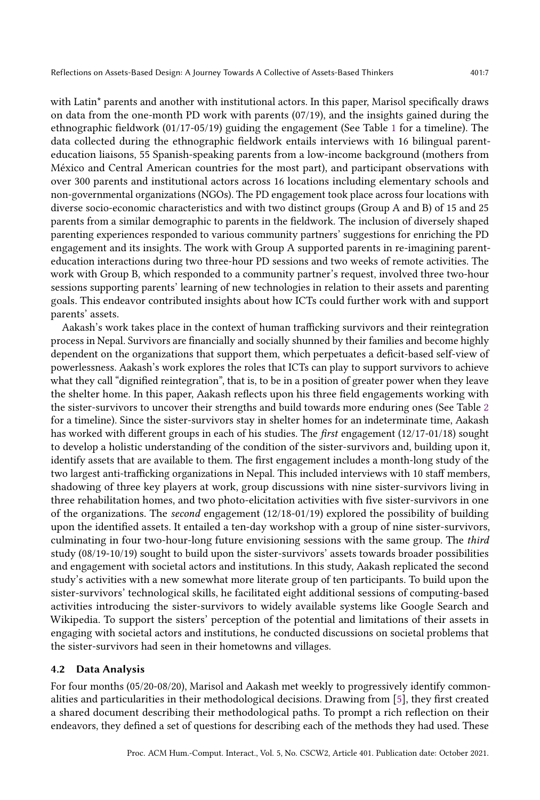with Latin<sup>\*</sup> parents and another with institutional actors. In this paper, Marisol specifically draws on data from the one-month PD work with parents (07/19), and the insights gained during the ethnographic fieldwork (01/17-05/19) guiding the engagement (See Table [1](#page-5-0) for a timeline). The data collected during the ethnographic fieldwork entails interviews with 16 bilingual parenteducation liaisons, 55 Spanish-speaking parents from a low-income background (mothers from México and Central American countries for the most part), and participant observations with over 300 parents and institutional actors across 16 locations including elementary schools and non-governmental organizations (NGOs). The PD engagement took place across four locations with

diverse socio-economic characteristics and with two distinct groups (Group A and B) of 15 and 25 parents from a similar demographic to parents in the fieldwork. The inclusion of diversely shaped parenting experiences responded to various community partners' suggestions for enriching the PD engagement and its insights. The work with Group A supported parents in re-imagining parenteducation interactions during two three-hour PD sessions and two weeks of remote activities. The work with Group B, which responded to a community partner's request, involved three two-hour sessions supporting parents' learning of new technologies in relation to their assets and parenting goals. This endeavor contributed insights about how ICTs could further work with and support parents' assets.

Aakash's work takes place in the context of human trafficking survivors and their reintegration process in Nepal. Survivors are financially and socially shunned by their families and become highly dependent on the organizations that support them, which perpetuates a deficit-based self-view of powerlessness. Aakash's work explores the roles that ICTs can play to support survivors to achieve what they call "dignified reintegration", that is, to be in a position of greater power when they leave the shelter home. In this paper, Aakash reflects upon his three field engagements working with the sister-survivors to uncover their strengths and build towards more enduring ones (See Table [2](#page-7-0) for a timeline). Since the sister-survivors stay in shelter homes for an indeterminate time, Aakash has worked with different groups in each of his studies. The first engagement (12/17-01/18) sought to develop a holistic understanding of the condition of the sister-survivors and, building upon it, identify assets that are available to them. The first engagement includes a month-long study of the two largest anti-trafficking organizations in Nepal. This included interviews with 10 staff members, shadowing of three key players at work, group discussions with nine sister-survivors living in three rehabilitation homes, and two photo-elicitation activities with five sister-survivors in one of the organizations. The second engagement (12/18-01/19) explored the possibility of building upon the identified assets. It entailed a ten-day workshop with a group of nine sister-survivors, culminating in four two-hour-long future envisioning sessions with the same group. The third study (08/19-10/19) sought to build upon the sister-survivors' assets towards broader possibilities and engagement with societal actors and institutions. In this study, Aakash replicated the second study's activities with a new somewhat more literate group of ten participants. To build upon the sister-survivors' technological skills, he facilitated eight additional sessions of computing-based activities introducing the sister-survivors to widely available systems like Google Search and Wikipedia. To support the sisters' perception of the potential and limitations of their assets in engaging with societal actors and institutions, he conducted discussions on societal problems that the sister-survivors had seen in their hometowns and villages.

#### 4.2 Data Analysis

For four months (05/20-08/20), Marisol and Aakash met weekly to progressively identify commonalities and particularities in their methodological decisions. Drawing from [\[5\]](#page-27-15), they first created a shared document describing their methodological paths. To prompt a rich reflection on their endeavors, they defined a set of questions for describing each of the methods they had used. These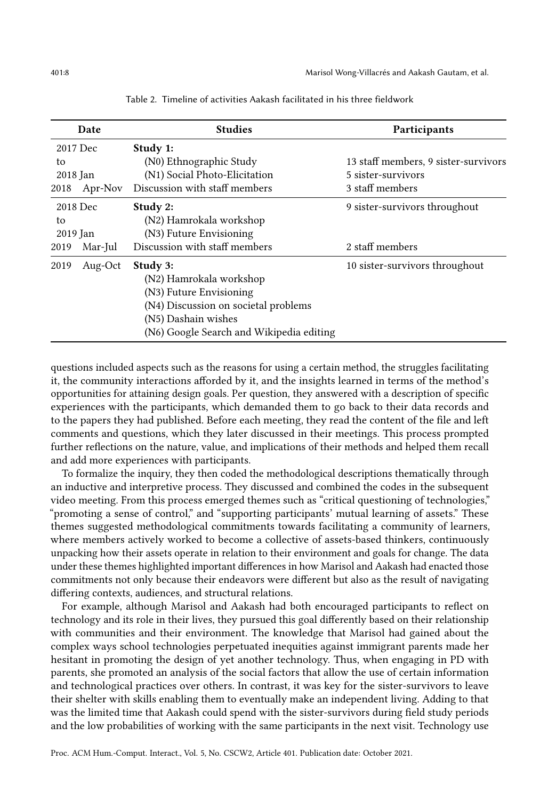<span id="page-7-0"></span>

|          | Date     | <b>Studies</b>                           | <b>Participants</b>                  |
|----------|----------|------------------------------------------|--------------------------------------|
|          | 2017 Dec | Study 1:                                 |                                      |
| to       |          | (N0) Ethnographic Study                  | 13 staff members, 9 sister-survivors |
| 2018 Jan |          | (N1) Social Photo-Elicitation            | 5 sister-survivors                   |
| 2018     | Apr-Nov  | Discussion with staff members            | 3 staff members                      |
|          | 2018 Dec | Study 2:                                 | 9 sister-survivors throughout        |
| to       |          | (N2) Hamrokala workshop                  |                                      |
| 2019 Jan |          | (N3) Future Envisioning                  |                                      |
| 2019     | Mar-Jul  | Discussion with staff members            | 2 staff members                      |
| 2019     | Aug-Oct  | Study 3:                                 | 10 sister-survivors throughout       |
|          |          | (N2) Hamrokala workshop                  |                                      |
|          |          | (N3) Future Envisioning                  |                                      |
|          |          | (N4) Discussion on societal problems     |                                      |
|          |          | (N5) Dashain wishes                      |                                      |
|          |          | (N6) Google Search and Wikipedia editing |                                      |

Table 2. Timeline of activities Aakash facilitated in his three fieldwork

questions included aspects such as the reasons for using a certain method, the struggles facilitating it, the community interactions afforded by it, and the insights learned in terms of the method's opportunities for attaining design goals. Per question, they answered with a description of specific experiences with the participants, which demanded them to go back to their data records and to the papers they had published. Before each meeting, they read the content of the file and left comments and questions, which they later discussed in their meetings. This process prompted further reflections on the nature, value, and implications of their methods and helped them recall and add more experiences with participants.

To formalize the inquiry, they then coded the methodological descriptions thematically through an inductive and interpretive process. They discussed and combined the codes in the subsequent video meeting. From this process emerged themes such as "critical questioning of technologies," "promoting a sense of control," and "supporting participants' mutual learning of assets." These themes suggested methodological commitments towards facilitating a community of learners, where members actively worked to become a collective of assets-based thinkers, continuously unpacking how their assets operate in relation to their environment and goals for change. The data under these themes highlighted important differences in how Marisol and Aakash had enacted those commitments not only because their endeavors were different but also as the result of navigating differing contexts, audiences, and structural relations.

For example, although Marisol and Aakash had both encouraged participants to reflect on technology and its role in their lives, they pursued this goal differently based on their relationship with communities and their environment. The knowledge that Marisol had gained about the complex ways school technologies perpetuated inequities against immigrant parents made her hesitant in promoting the design of yet another technology. Thus, when engaging in PD with parents, she promoted an analysis of the social factors that allow the use of certain information and technological practices over others. In contrast, it was key for the sister-survivors to leave their shelter with skills enabling them to eventually make an independent living. Adding to that was the limited time that Aakash could spend with the sister-survivors during field study periods and the low probabilities of working with the same participants in the next visit. Technology use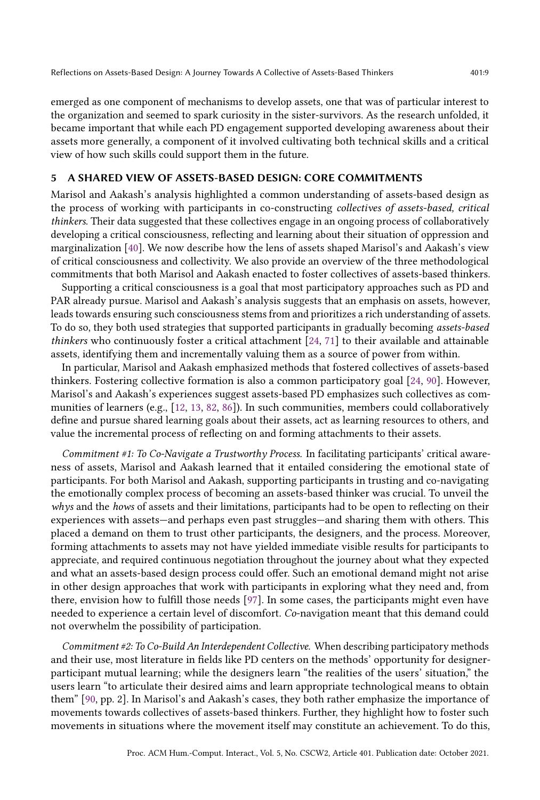emerged as one component of mechanisms to develop assets, one that was of particular interest to the organization and seemed to spark curiosity in the sister-survivors. As the research unfolded, it became important that while each PD engagement supported developing awareness about their assets more generally, a component of it involved cultivating both technical skills and a critical view of how such skills could support them in the future.

## 5 A SHARED VIEW OF ASSETS-BASED DESIGN: CORE COMMITMENTS

Marisol and Aakash's analysis highlighted a common understanding of assets-based design as the process of working with participants in co-constructing collectives of assets-based, critical thinkers. Their data suggested that these collectives engage in an ongoing process of collaboratively developing a critical consciousness, reflecting and learning about their situation of oppression and marginalization [\[40\]](#page-28-13). We now describe how the lens of assets shaped Marisol's and Aakash's view of critical consciousness and collectivity. We also provide an overview of the three methodological commitments that both Marisol and Aakash enacted to foster collectives of assets-based thinkers.

Supporting a critical consciousness is a goal that most participatory approaches such as PD and PAR already pursue. Marisol and Aakash's analysis suggests that an emphasis on assets, however, leads towards ensuring such consciousness stems from and prioritizes a rich understanding of assets. To do so, they both used strategies that supported participants in gradually becoming assets-based thinkers who continuously foster a critical attachment [\[24,](#page-27-5) [71\]](#page-29-18) to their available and attainable assets, identifying them and incrementally valuing them as a source of power from within.

In particular, Marisol and Aakash emphasized methods that fostered collectives of assets-based thinkers. Fostering collective formation is also a common participatory goal [\[24,](#page-27-5) [90\]](#page-30-13). However, Marisol's and Aakash's experiences suggest assets-based PD emphasizes such collectives as communities of learners (e.g., [\[12,](#page-27-16) [13,](#page-27-17) [82,](#page-30-15) [86\]](#page-30-16)). In such communities, members could collaboratively define and pursue shared learning goals about their assets, act as learning resources to others, and value the incremental process of reflecting on and forming attachments to their assets.

Commitment #1: To Co-Navigate a Trustworthy Process. In facilitating participants' critical awareness of assets, Marisol and Aakash learned that it entailed considering the emotional state of participants. For both Marisol and Aakash, supporting participants in trusting and co-navigating the emotionally complex process of becoming an assets-based thinker was crucial. To unveil the whys and the hows of assets and their limitations, participants had to be open to reflecting on their experiences with assets—and perhaps even past struggles—and sharing them with others. This placed a demand on them to trust other participants, the designers, and the process. Moreover, forming attachments to assets may not have yielded immediate visible results for participants to appreciate, and required continuous negotiation throughout the journey about what they expected and what an assets-based design process could offer. Such an emotional demand might not arise in other design approaches that work with participants in exploring what they need and, from there, envision how to fulfill those needs [\[97\]](#page-30-11). In some cases, the participants might even have needed to experience a certain level of discomfort. Co-navigation meant that this demand could not overwhelm the possibility of participation.

Commitment #2: To Co-Build An Interdependent Collective. When describing participatory methods and their use, most literature in fields like PD centers on the methods' opportunity for designerparticipant mutual learning; while the designers learn "the realities of the users' situation," the users learn "to articulate their desired aims and learn appropriate technological means to obtain them" [\[90,](#page-30-13) pp. 2]. In Marisol's and Aakash's cases, they both rather emphasize the importance of movements towards collectives of assets-based thinkers. Further, they highlight how to foster such movements in situations where the movement itself may constitute an achievement. To do this,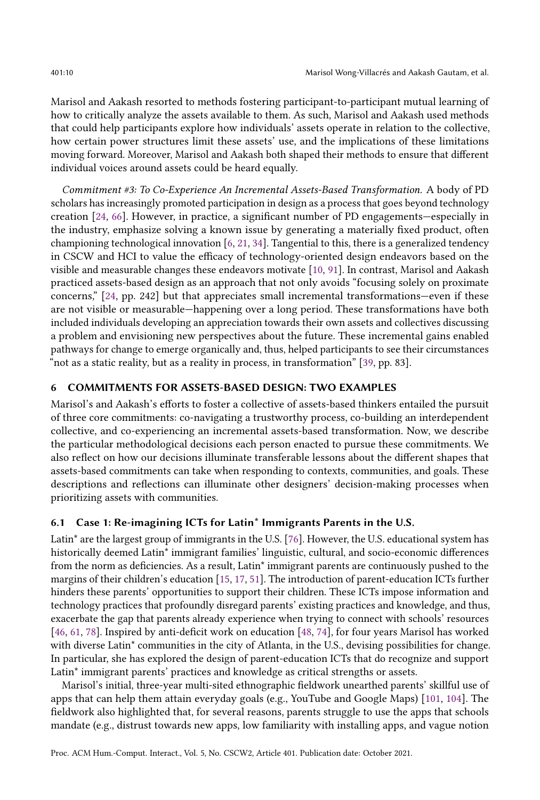Marisol and Aakash resorted to methods fostering participant-to-participant mutual learning of how to critically analyze the assets available to them. As such, Marisol and Aakash used methods that could help participants explore how individuals' assets operate in relation to the collective, how certain power structures limit these assets' use, and the implications of these limitations moving forward. Moreover, Marisol and Aakash both shaped their methods to ensure that different individual voices around assets could be heard equally.

Commitment #3: To Co-Experience An Incremental Assets-Based Transformation. A body of PD scholars has increasingly promoted participation in design as a process that goes beyond technology creation [\[24,](#page-27-5) [66\]](#page-29-7). However, in practice, a significant number of PD engagements—especially in the industry, emphasize solving a known issue by generating a materially fixed product, often championing technological innovation  $[6, 21, 34]$  $[6, 21, 34]$  $[6, 21, 34]$  $[6, 21, 34]$  $[6, 21, 34]$ . Tangential to this, there is a generalized tendency in CSCW and HCI to value the efficacy of technology-oriented design endeavors based on the visible and measurable changes these endeavors motivate [\[10,](#page-27-18) [91\]](#page-30-17). In contrast, Marisol and Aakash practiced assets-based design as an approach that not only avoids "focusing solely on proximate concerns," [\[24,](#page-27-5) pp. 242] but that appreciates small incremental transformations—even if these are not visible or measurable—happening over a long period. These transformations have both included individuals developing an appreciation towards their own assets and collectives discussing a problem and envisioning new perspectives about the future. These incremental gains enabled pathways for change to emerge organically and, thus, helped participants to see their circumstances "not as a static reality, but as a reality in process, in transformation" [\[39,](#page-28-12) pp. 83].

# 6 COMMITMENTS FOR ASSETS-BASED DESIGN: TWO EXAMPLES

Marisol's and Aakash's efforts to foster a collective of assets-based thinkers entailed the pursuit of three core commitments: co-navigating a trustworthy process, co-building an interdependent collective, and co-experiencing an incremental assets-based transformation. Now, we describe the particular methodological decisions each person enacted to pursue these commitments. We also reflect on how our decisions illuminate transferable lessons about the different shapes that assets-based commitments can take when responding to contexts, communities, and goals. These descriptions and reflections can illuminate other designers' decision-making processes when prioritizing assets with communities.

## 6.1 Case 1: Re-imagining ICTs for Latin\* Immigrants Parents in the U.S.

Latin\* are the largest group of immigrants in the U.S. [\[76\]](#page-29-19). However, the U.S. educational system has historically deemed Latin\* immigrant families' linguistic, cultural, and socio-economic differences from the norm as deficiencies. As a result, Latin\* immigrant parents are continuously pushed to the margins of their children's education [\[15,](#page-27-13) [17,](#page-27-19) [51\]](#page-28-18). The introduction of parent-education ICTs further hinders these parents' opportunities to support their children. These ICTs impose information and technology practices that profoundly disregard parents' existing practices and knowledge, and thus, exacerbate the gap that parents already experience when trying to connect with schools' resources [\[46,](#page-28-19) [61,](#page-29-17) [78\]](#page-29-20). Inspired by anti-deficit work on education [\[48,](#page-28-20) [74\]](#page-29-1), for four years Marisol has worked with diverse Latin<sup>\*</sup> communities in the city of Atlanta, in the U.S., devising possibilities for change. In particular, she has explored the design of parent-education ICTs that do recognize and support Latin\* immigrant parents' practices and knowledge as critical strengths or assets.

Marisol's initial, three-year multi-sited ethnographic fieldwork unearthed parents' skillful use of apps that can help them attain everyday goals (e.g., YouTube and Google Maps) [\[101,](#page-30-14) [104\]](#page-31-4). The fieldwork also highlighted that, for several reasons, parents struggle to use the apps that schools mandate (e.g., distrust towards new apps, low familiarity with installing apps, and vague notion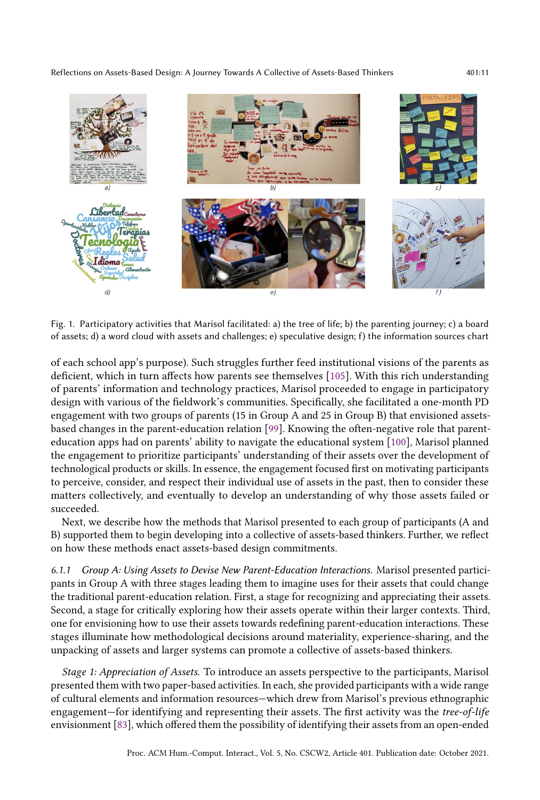Reflections on Assets-Based Design: A Journey Towards A Collective of Assets-Based Thinkers 401:11

 $d$ 

<span id="page-10-0"></span>Idioma

Fig. 1. Participatory activities that Marisol facilitated: a) the tree of life; b) the parenting journey; c) a board of assets; d) a word cloud with assets and challenges; e) speculative design; f) the information sources chart

of each school app's purpose). Such struggles further feed institutional visions of the parents as deficient, which in turn affects how parents see themselves [\[105\]](#page-31-5). With this rich understanding of parents' information and technology practices, Marisol proceeded to engage in participatory design with various of the fieldwork's communities. Specifically, she facilitated a one-month PD engagement with two groups of parents (15 in Group A and 25 in Group B) that envisioned assetsbased changes in the parent-education relation [\[99\]](#page-30-4). Knowing the often-negative role that parenteducation apps had on parents' ability to navigate the educational system [\[100\]](#page-30-18), Marisol planned the engagement to prioritize participants' understanding of their assets over the development of technological products or skills. In essence, the engagement focused first on motivating participants to perceive, consider, and respect their individual use of assets in the past, then to consider these matters collectively, and eventually to develop an understanding of why those assets failed or succeeded.

Next, we describe how the methods that Marisol presented to each group of participants (A and B) supported them to begin developing into a collective of assets-based thinkers. Further, we reflect on how these methods enact assets-based design commitments.

6.1.1 Group A: Using Assets to Devise New Parent-Education Interactions. Marisol presented participants in Group A with three stages leading them to imagine uses for their assets that could change the traditional parent-education relation. First, a stage for recognizing and appreciating their assets. Second, a stage for critically exploring how their assets operate within their larger contexts. Third, one for envisioning how to use their assets towards redefining parent-education interactions. These stages illuminate how methodological decisions around materiality, experience-sharing, and the unpacking of assets and larger systems can promote a collective of assets-based thinkers.

Stage 1: Appreciation of Assets. To introduce an assets perspective to the participants, Marisol presented them with two paper-based activities. In each, she provided participants with a wide range of cultural elements and information resources—which drew from Marisol's previous ethnographic engagement—for identifying and representing their assets. The first activity was the tree-of-life envisionment [\[83\]](#page-30-19), which offered them the possibility of identifying their assets from an open-ended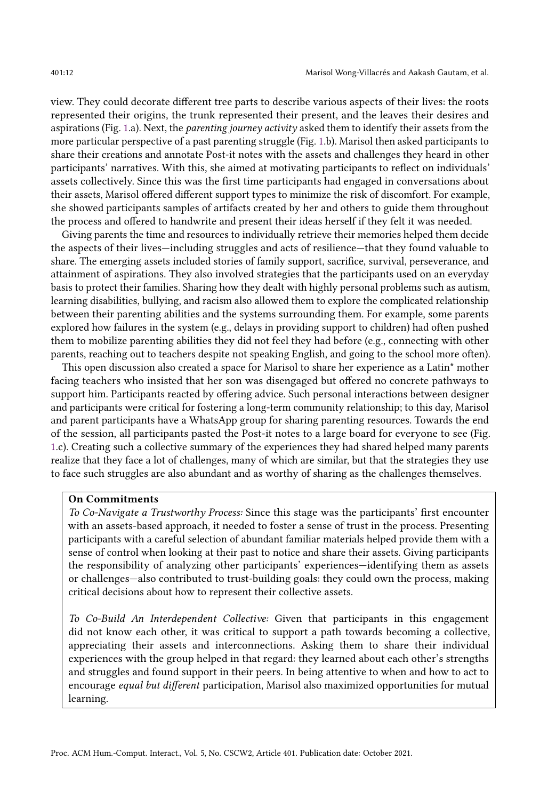view. They could decorate different tree parts to describe various aspects of their lives: the roots represented their origins, the trunk represented their present, and the leaves their desires and aspirations (Fig. [1.](#page-10-0)a). Next, the *parenting journey activity* asked them to identify their assets from the more particular perspective of a past parenting struggle (Fig. [1.](#page-10-0)b). Marisol then asked participants to share their creations and annotate Post-it notes with the assets and challenges they heard in other participants' narratives. With this, she aimed at motivating participants to reflect on individuals' assets collectively. Since this was the first time participants had engaged in conversations about their assets, Marisol offered different support types to minimize the risk of discomfort. For example, she showed participants samples of artifacts created by her and others to guide them throughout the process and offered to handwrite and present their ideas herself if they felt it was needed.

Giving parents the time and resources to individually retrieve their memories helped them decide the aspects of their lives—including struggles and acts of resilience—that they found valuable to share. The emerging assets included stories of family support, sacrifice, survival, perseverance, and attainment of aspirations. They also involved strategies that the participants used on an everyday basis to protect their families. Sharing how they dealt with highly personal problems such as autism, learning disabilities, bullying, and racism also allowed them to explore the complicated relationship between their parenting abilities and the systems surrounding them. For example, some parents explored how failures in the system (e.g., delays in providing support to children) had often pushed them to mobilize parenting abilities they did not feel they had before (e.g., connecting with other parents, reaching out to teachers despite not speaking English, and going to the school more often).

This open discussion also created a space for Marisol to share her experience as a Latin\* mother facing teachers who insisted that her son was disengaged but offered no concrete pathways to support him. Participants reacted by offering advice. Such personal interactions between designer and participants were critical for fostering a long-term community relationship; to this day, Marisol and parent participants have a WhatsApp group for sharing parenting resources. Towards the end of the session, all participants pasted the Post-it notes to a large board for everyone to see (Fig. [1.](#page-10-0)c). Creating such a collective summary of the experiences they had shared helped many parents realize that they face a lot of challenges, many of which are similar, but that the strategies they use to face such struggles are also abundant and as worthy of sharing as the challenges themselves.

#### On Commitments

To Co-Navigate a Trustworthy Process: Since this stage was the participants' first encounter with an assets-based approach, it needed to foster a sense of trust in the process. Presenting participants with a careful selection of abundant familiar materials helped provide them with a sense of control when looking at their past to notice and share their assets. Giving participants the responsibility of analyzing other participants' experiences—identifying them as assets or challenges—also contributed to trust-building goals: they could own the process, making critical decisions about how to represent their collective assets.

To Co-Build An Interdependent Collective: Given that participants in this engagement did not know each other, it was critical to support a path towards becoming a collective, appreciating their assets and interconnections. Asking them to share their individual experiences with the group helped in that regard: they learned about each other's strengths and struggles and found support in their peers. In being attentive to when and how to act to encourage equal but different participation, Marisol also maximized opportunities for mutual learning.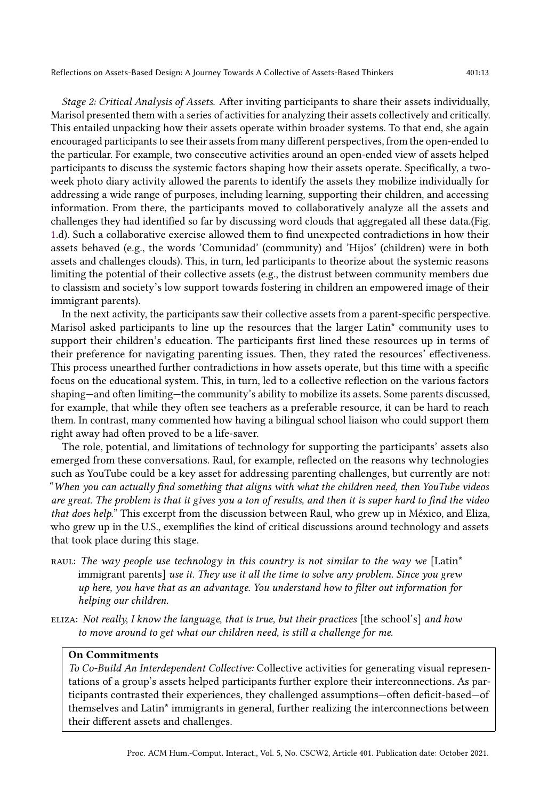Stage 2: Critical Analysis of Assets. After inviting participants to share their assets individually, Marisol presented them with a series of activities for analyzing their assets collectively and critically. This entailed unpacking how their assets operate within broader systems. To that end, she again encouraged participants to see their assets from many different perspectives, from the open-ended to the particular. For example, two consecutive activities around an open-ended view of assets helped participants to discuss the systemic factors shaping how their assets operate. Specifically, a twoweek photo diary activity allowed the parents to identify the assets they mobilize individually for addressing a wide range of purposes, including learning, supporting their children, and accessing information. From there, the participants moved to collaboratively analyze all the assets and challenges they had identified so far by discussing word clouds that aggregated all these data.(Fig. [1.](#page-10-0)d). Such a collaborative exercise allowed them to find unexpected contradictions in how their assets behaved (e.g., the words 'Comunidad' (community) and 'Hijos' (children) were in both assets and challenges clouds). This, in turn, led participants to theorize about the systemic reasons limiting the potential of their collective assets (e.g., the distrust between community members due to classism and society's low support towards fostering in children an empowered image of their immigrant parents).

In the next activity, the participants saw their collective assets from a parent-specific perspective. Marisol asked participants to line up the resources that the larger Latin\* community uses to support their children's education. The participants first lined these resources up in terms of their preference for navigating parenting issues. Then, they rated the resources' effectiveness. This process unearthed further contradictions in how assets operate, but this time with a specific focus on the educational system. This, in turn, led to a collective reflection on the various factors shaping—and often limiting—the community's ability to mobilize its assets. Some parents discussed, for example, that while they often see teachers as a preferable resource, it can be hard to reach them. In contrast, many commented how having a bilingual school liaison who could support them right away had often proved to be a life-saver.

The role, potential, and limitations of technology for supporting the participants' assets also emerged from these conversations. Raul, for example, reflected on the reasons why technologies such as YouTube could be a key asset for addressing parenting challenges, but currently are not: "When you can actually find something that aligns with what the children need, then YouTube videos are great. The problem is that it gives you a ton of results, and then it is super hard to find the video that does help." This excerpt from the discussion between Raul, who grew up in México, and Eliza, who grew up in the U.S., exemplifies the kind of critical discussions around technology and assets that took place during this stage.

- RAUL: The way people use technology in this country is not similar to the way we [Latin\* immigrant parents] use it. They use it all the time to solve any problem. Since you grew up here, you have that as an advantage. You understand how to filter out information for helping our children.
- ELIZA: Not really, I know the language, that is true, but their practices [the school's] and how to move around to get what our children need, is still a challenge for me.

## On Commitments

To Co-Build An Interdependent Collective: Collective activities for generating visual representations of a group's assets helped participants further explore their interconnections. As participants contrasted their experiences, they challenged assumptions—often deficit-based—of themselves and Latin\* immigrants in general, further realizing the interconnections between their different assets and challenges.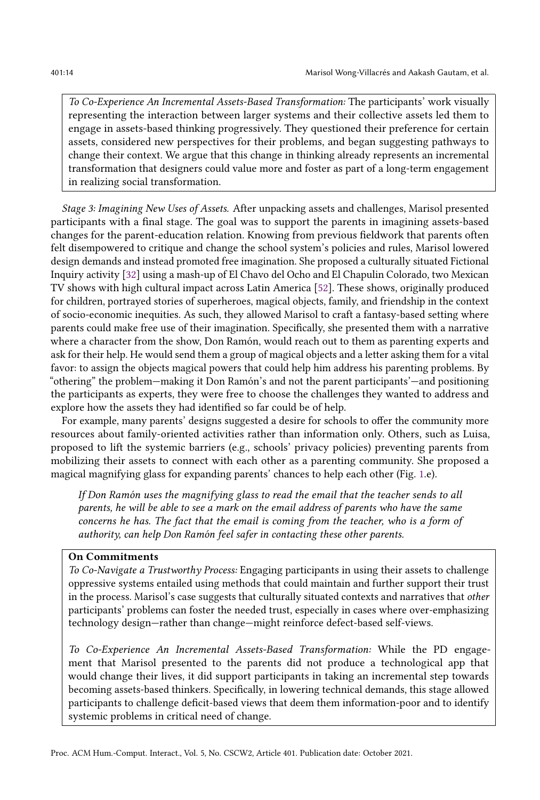To Co-Experience An Incremental Assets-Based Transformation: The participants' work visually representing the interaction between larger systems and their collective assets led them to engage in assets-based thinking progressively. They questioned their preference for certain assets, considered new perspectives for their problems, and began suggesting pathways to change their context. We argue that this change in thinking already represents an incremental transformation that designers could value more and foster as part of a long-term engagement in realizing social transformation.

Stage 3: Imagining New Uses of Assets. After unpacking assets and challenges, Marisol presented participants with a final stage. The goal was to support the parents in imagining assets-based changes for the parent-education relation. Knowing from previous fieldwork that parents often felt disempowered to critique and change the school system's policies and rules, Marisol lowered design demands and instead promoted free imagination. She proposed a culturally situated Fictional Inquiry activity [\[32\]](#page-28-21) using a mash-up of El Chavo del Ocho and El Chapulin Colorado, two Mexican TV shows with high cultural impact across Latin America [\[52\]](#page-29-21). These shows, originally produced for children, portrayed stories of superheroes, magical objects, family, and friendship in the context of socio-economic inequities. As such, they allowed Marisol to craft a fantasy-based setting where parents could make free use of their imagination. Specifically, she presented them with a narrative where a character from the show, Don Ramón, would reach out to them as parenting experts and ask for their help. He would send them a group of magical objects and a letter asking them for a vital favor: to assign the objects magical powers that could help him address his parenting problems. By "othering" the problem—making it Don Ramón's and not the parent participants'—and positioning the participants as experts, they were free to choose the challenges they wanted to address and explore how the assets they had identified so far could be of help.

For example, many parents' designs suggested a desire for schools to offer the community more resources about family-oriented activities rather than information only. Others, such as Luisa, proposed to lift the systemic barriers (e.g., schools' privacy policies) preventing parents from mobilizing their assets to connect with each other as a parenting community. She proposed a magical magnifying glass for expanding parents' chances to help each other (Fig. [1.](#page-10-0)e).

If Don Ramón uses the magnifying glass to read the email that the teacher sends to all parents, he will be able to see a mark on the email address of parents who have the same concerns he has. The fact that the email is coming from the teacher, who is a form of authority, can help Don Ramón feel safer in contacting these other parents.

#### On Commitments

To Co-Navigate a Trustworthy Process: Engaging participants in using their assets to challenge oppressive systems entailed using methods that could maintain and further support their trust in the process. Marisol's case suggests that culturally situated contexts and narratives that other participants' problems can foster the needed trust, especially in cases where over-emphasizing technology design—rather than change—might reinforce defect-based self-views.

To Co-Experience An Incremental Assets-Based Transformation: While the PD engagement that Marisol presented to the parents did not produce a technological app that would change their lives, it did support participants in taking an incremental step towards becoming assets-based thinkers. Specifically, in lowering technical demands, this stage allowed participants to challenge deficit-based views that deem them information-poor and to identify systemic problems in critical need of change.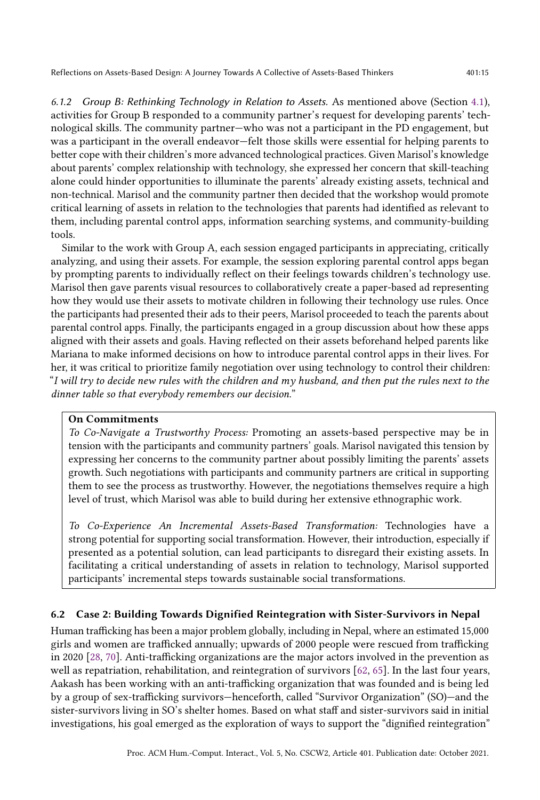6.1.2 Group B: Rethinking Technology in Relation to Assets. As mentioned above (Section [4.1\)](#page-5-1), activities for Group B responded to a community partner's request for developing parents' technological skills. The community partner—who was not a participant in the PD engagement, but was a participant in the overall endeavor—felt those skills were essential for helping parents to better cope with their children's more advanced technological practices. Given Marisol's knowledge about parents' complex relationship with technology, she expressed her concern that skill-teaching alone could hinder opportunities to illuminate the parents' already existing assets, technical and non-technical. Marisol and the community partner then decided that the workshop would promote critical learning of assets in relation to the technologies that parents had identified as relevant to them, including parental control apps, information searching systems, and community-building tools.

Similar to the work with Group A, each session engaged participants in appreciating, critically analyzing, and using their assets. For example, the session exploring parental control apps began by prompting parents to individually reflect on their feelings towards children's technology use. Marisol then gave parents visual resources to collaboratively create a paper-based ad representing how they would use their assets to motivate children in following their technology use rules. Once the participants had presented their ads to their peers, Marisol proceeded to teach the parents about parental control apps. Finally, the participants engaged in a group discussion about how these apps aligned with their assets and goals. Having reflected on their assets beforehand helped parents like Mariana to make informed decisions on how to introduce parental control apps in their lives. For her, it was critical to prioritize family negotiation over using technology to control their children: "I will try to decide new rules with the children and my husband, and then put the rules next to the dinner table so that everybody remembers our decision."

#### On Commitments

To Co-Navigate a Trustworthy Process: Promoting an assets-based perspective may be in tension with the participants and community partners' goals. Marisol navigated this tension by expressing her concerns to the community partner about possibly limiting the parents' assets growth. Such negotiations with participants and community partners are critical in supporting them to see the process as trustworthy. However, the negotiations themselves require a high level of trust, which Marisol was able to build during her extensive ethnographic work.

To Co-Experience An Incremental Assets-Based Transformation: Technologies have a strong potential for supporting social transformation. However, their introduction, especially if presented as a potential solution, can lead participants to disregard their existing assets. In facilitating a critical understanding of assets in relation to technology, Marisol supported participants' incremental steps towards sustainable social transformations.

# 6.2 Case 2: Building Towards Dignified Reintegration with Sister-Survivors in Nepal

Human trafficking has been a major problem globally, including in Nepal, where an estimated 15,000 girls and women are trafficked annually; upwards of 2000 people were rescued from trafficking in 2020 [\[28,](#page-28-22) [70\]](#page-29-22). Anti-trafficking organizations are the major actors involved in the prevention as well as repatriation, rehabilitation, and reintegration of survivors [\[62,](#page-29-23) [65\]](#page-29-24). In the last four years, Aakash has been working with an anti-trafficking organization that was founded and is being led by a group of sex-trafficking survivors—henceforth, called "Survivor Organization" (SO)—and the sister-survivors living in SO's shelter homes. Based on what staff and sister-survivors said in initial investigations, his goal emerged as the exploration of ways to support the "dignified reintegration"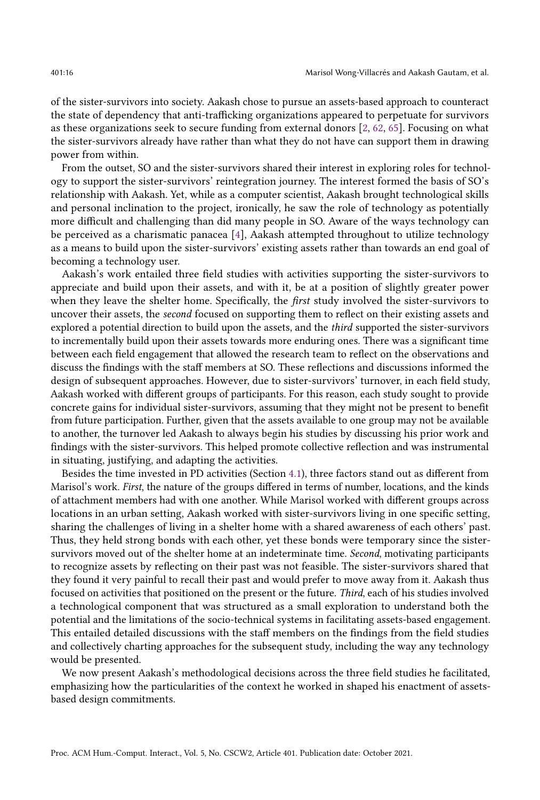of the sister-survivors into society. Aakash chose to pursue an assets-based approach to counteract the state of dependency that anti-trafficking organizations appeared to perpetuate for survivors as these organizations seek to secure funding from external donors [\[2,](#page-27-20) [62,](#page-29-23) [65\]](#page-29-24). Focusing on what the sister-survivors already have rather than what they do not have can support them in drawing power from within.

From the outset, SO and the sister-survivors shared their interest in exploring roles for technology to support the sister-survivors' reintegration journey. The interest formed the basis of SO's relationship with Aakash. Yet, while as a computer scientist, Aakash brought technological skills and personal inclination to the project, ironically, he saw the role of technology as potentially more difficult and challenging than did many people in SO. Aware of the ways technology can be perceived as a charismatic panacea [\[4\]](#page-27-21), Aakash attempted throughout to utilize technology as a means to build upon the sister-survivors' existing assets rather than towards an end goal of becoming a technology user.

Aakash's work entailed three field studies with activities supporting the sister-survivors to appreciate and build upon their assets, and with it, be at a position of slightly greater power when they leave the shelter home. Specifically, the *first* study involved the sister-survivors to uncover their assets, the second focused on supporting them to reflect on their existing assets and explored a potential direction to build upon the assets, and the *third* supported the sister-survivors to incrementally build upon their assets towards more enduring ones. There was a significant time between each field engagement that allowed the research team to reflect on the observations and discuss the findings with the staff members at SO. These reflections and discussions informed the design of subsequent approaches. However, due to sister-survivors' turnover, in each field study, Aakash worked with different groups of participants. For this reason, each study sought to provide concrete gains for individual sister-survivors, assuming that they might not be present to benefit from future participation. Further, given that the assets available to one group may not be available to another, the turnover led Aakash to always begin his studies by discussing his prior work and findings with the sister-survivors. This helped promote collective reflection and was instrumental in situating, justifying, and adapting the activities.

Besides the time invested in PD activities (Section [4.1\)](#page-5-1), three factors stand out as different from Marisol's work. First, the nature of the groups differed in terms of number, locations, and the kinds of attachment members had with one another. While Marisol worked with different groups across locations in an urban setting, Aakash worked with sister-survivors living in one specific setting, sharing the challenges of living in a shelter home with a shared awareness of each others' past. Thus, they held strong bonds with each other, yet these bonds were temporary since the sistersurvivors moved out of the shelter home at an indeterminate time. Second, motivating participants to recognize assets by reflecting on their past was not feasible. The sister-survivors shared that they found it very painful to recall their past and would prefer to move away from it. Aakash thus focused on activities that positioned on the present or the future. Third, each of his studies involved a technological component that was structured as a small exploration to understand both the potential and the limitations of the socio-technical systems in facilitating assets-based engagement. This entailed detailed discussions with the staff members on the findings from the field studies and collectively charting approaches for the subsequent study, including the way any technology would be presented.

We now present Aakash's methodological decisions across the three field studies he facilitated, emphasizing how the particularities of the context he worked in shaped his enactment of assetsbased design commitments.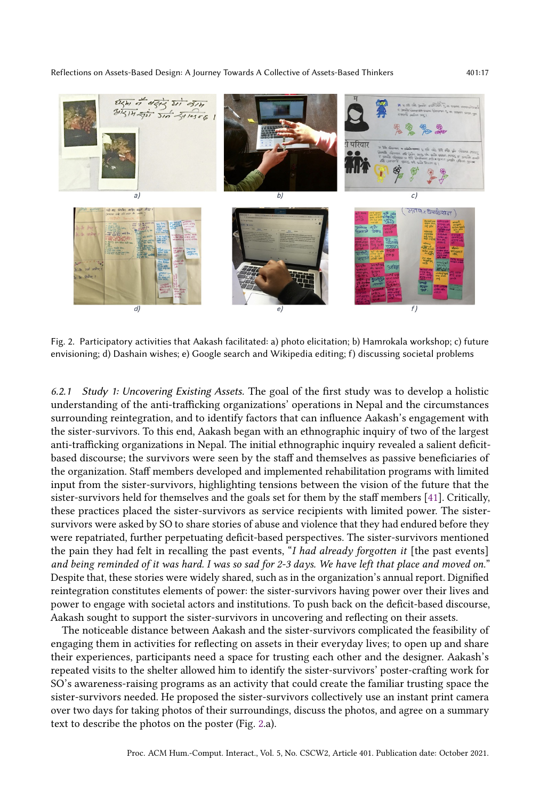<span id="page-16-0"></span>

Fig. 2. Participatory activities that Aakash facilitated: a) photo elicitation; b) Hamrokala workshop; c) future envisioning; d) Dashain wishes; e) Google search and Wikipedia editing; f) discussing societal problems

6.2.1 Study 1: Uncovering Existing Assets. The goal of the first study was to develop a holistic understanding of the anti-trafficking organizations' operations in Nepal and the circumstances surrounding reintegration, and to identify factors that can influence Aakash's engagement with the sister-survivors. To this end, Aakash began with an ethnographic inquiry of two of the largest anti-trafficking organizations in Nepal. The initial ethnographic inquiry revealed a salient deficitbased discourse; the survivors were seen by the staff and themselves as passive beneficiaries of the organization. Staff members developed and implemented rehabilitation programs with limited input from the sister-survivors, highlighting tensions between the vision of the future that the sister-survivors held for themselves and the goals set for them by the staff members [\[41\]](#page-28-17). Critically, these practices placed the sister-survivors as service recipients with limited power. The sistersurvivors were asked by SO to share stories of abuse and violence that they had endured before they were repatriated, further perpetuating deficit-based perspectives. The sister-survivors mentioned the pain they had felt in recalling the past events, "I had already forgotten it [the past events] and being reminded of it was hard. I was so sad for 2-3 days. We have left that place and moved on." Despite that, these stories were widely shared, such as in the organization's annual report. Dignified reintegration constitutes elements of power: the sister-survivors having power over their lives and power to engage with societal actors and institutions. To push back on the deficit-based discourse, Aakash sought to support the sister-survivors in uncovering and reflecting on their assets.

The noticeable distance between Aakash and the sister-survivors complicated the feasibility of engaging them in activities for reflecting on assets in their everyday lives; to open up and share their experiences, participants need a space for trusting each other and the designer. Aakash's repeated visits to the shelter allowed him to identify the sister-survivors' poster-crafting work for SO's awareness-raising programs as an activity that could create the familiar trusting space the sister-survivors needed. He proposed the sister-survivors collectively use an instant print camera over two days for taking photos of their surroundings, discuss the photos, and agree on a summary text to describe the photos on the poster (Fig. [2.](#page-16-0)a).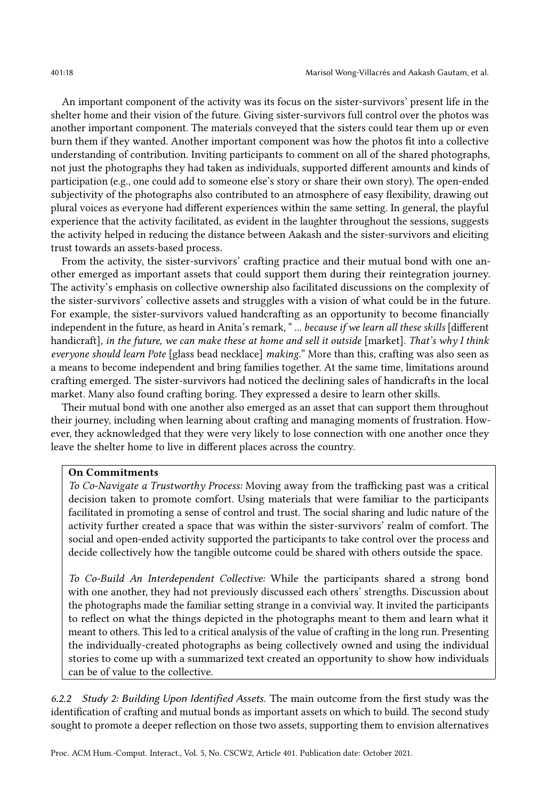An important component of the activity was its focus on the sister-survivors' present life in the shelter home and their vision of the future. Giving sister-survivors full control over the photos was another important component. The materials conveyed that the sisters could tear them up or even burn them if they wanted. Another important component was how the photos fit into a collective understanding of contribution. Inviting participants to comment on all of the shared photographs, not just the photographs they had taken as individuals, supported different amounts and kinds of participation (e.g., one could add to someone else's story or share their own story). The open-ended subjectivity of the photographs also contributed to an atmosphere of easy flexibility, drawing out plural voices as everyone had different experiences within the same setting. In general, the playful experience that the activity facilitated, as evident in the laughter throughout the sessions, suggests the activity helped in reducing the distance between Aakash and the sister-survivors and eliciting trust towards an assets-based process.

From the activity, the sister-survivors' crafting practice and their mutual bond with one another emerged as important assets that could support them during their reintegration journey. The activity's emphasis on collective ownership also facilitated discussions on the complexity of the sister-survivors' collective assets and struggles with a vision of what could be in the future. For example, the sister-survivors valued handcrafting as an opportunity to become financially independent in the future, as heard in Anita's remark, " ... because if we learn all these skills [different handicraft], in the future, we can make these at home and sell it outside [market]. That's why I think everyone should learn Pote [glass bead necklace] making." More than this, crafting was also seen as a means to become independent and bring families together. At the same time, limitations around crafting emerged. The sister-survivors had noticed the declining sales of handicrafts in the local market. Many also found crafting boring. They expressed a desire to learn other skills.

Their mutual bond with one another also emerged as an asset that can support them throughout their journey, including when learning about crafting and managing moments of frustration. However, they acknowledged that they were very likely to lose connection with one another once they leave the shelter home to live in different places across the country.

#### On Commitments

To Co-Navigate a Trustworthy Process: Moving away from the trafficking past was a critical decision taken to promote comfort. Using materials that were familiar to the participants facilitated in promoting a sense of control and trust. The social sharing and ludic nature of the activity further created a space that was within the sister-survivors' realm of comfort. The social and open-ended activity supported the participants to take control over the process and decide collectively how the tangible outcome could be shared with others outside the space.

To Co-Build An Interdependent Collective: While the participants shared a strong bond with one another, they had not previously discussed each others' strengths. Discussion about the photographs made the familiar setting strange in a convivial way. It invited the participants to reflect on what the things depicted in the photographs meant to them and learn what it meant to others. This led to a critical analysis of the value of crafting in the long run. Presenting the individually-created photographs as being collectively owned and using the individual stories to come up with a summarized text created an opportunity to show how individuals can be of value to the collective.

6.2.2 Study 2: Building Upon Identified Assets. The main outcome from the first study was the identification of crafting and mutual bonds as important assets on which to build. The second study sought to promote a deeper reflection on those two assets, supporting them to envision alternatives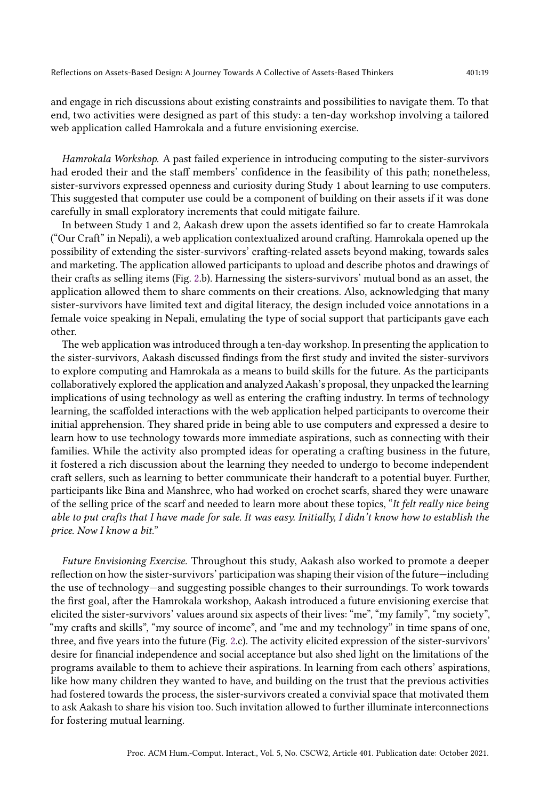web application called Hamrokala and a future envisioning exercise.

and engage in rich discussions about existing constraints and possibilities to navigate them. To that

Hamrokala Workshop. A past failed experience in introducing computing to the sister-survivors had eroded their and the staff members' confidence in the feasibility of this path; nonetheless, sister-survivors expressed openness and curiosity during Study 1 about learning to use computers. This suggested that computer use could be a component of building on their assets if it was done

end, two activities were designed as part of this study: a ten-day workshop involving a tailored

carefully in small exploratory increments that could mitigate failure. In between Study 1 and 2, Aakash drew upon the assets identified so far to create Hamrokala ("Our Craft" in Nepali), a web application contextualized around crafting. Hamrokala opened up the possibility of extending the sister-survivors' crafting-related assets beyond making, towards sales and marketing. The application allowed participants to upload and describe photos and drawings of their crafts as selling items (Fig. [2.](#page-16-0)b). Harnessing the sisters-survivors' mutual bond as an asset, the application allowed them to share comments on their creations. Also, acknowledging that many sister-survivors have limited text and digital literacy, the design included voice annotations in a female voice speaking in Nepali, emulating the type of social support that participants gave each other.

The web application was introduced through a ten-day workshop. In presenting the application to the sister-survivors, Aakash discussed findings from the first study and invited the sister-survivors to explore computing and Hamrokala as a means to build skills for the future. As the participants collaboratively explored the application and analyzed Aakash's proposal, they unpacked the learning implications of using technology as well as entering the crafting industry. In terms of technology learning, the scaffolded interactions with the web application helped participants to overcome their initial apprehension. They shared pride in being able to use computers and expressed a desire to learn how to use technology towards more immediate aspirations, such as connecting with their families. While the activity also prompted ideas for operating a crafting business in the future, it fostered a rich discussion about the learning they needed to undergo to become independent craft sellers, such as learning to better communicate their handcraft to a potential buyer. Further, participants like Bina and Manshree, who had worked on crochet scarfs, shared they were unaware of the selling price of the scarf and needed to learn more about these topics, "It felt really nice being able to put crafts that I have made for sale. It was easy. Initially, I didn't know how to establish the price. Now I know a bit."

Future Envisioning Exercise. Throughout this study, Aakash also worked to promote a deeper reflection on how the sister-survivors' participation was shaping their vision of the future—including the use of technology—and suggesting possible changes to their surroundings. To work towards the first goal, after the Hamrokala workshop, Aakash introduced a future envisioning exercise that elicited the sister-survivors' values around six aspects of their lives: "me", "my family", "my society", "my crafts and skills", "my source of income", and "me and my technology" in time spans of one, three, and five years into the future (Fig. [2.](#page-16-0)c). The activity elicited expression of the sister-survivors' desire for financial independence and social acceptance but also shed light on the limitations of the programs available to them to achieve their aspirations. In learning from each others' aspirations, like how many children they wanted to have, and building on the trust that the previous activities had fostered towards the process, the sister-survivors created a convivial space that motivated them to ask Aakash to share his vision too. Such invitation allowed to further illuminate interconnections for fostering mutual learning.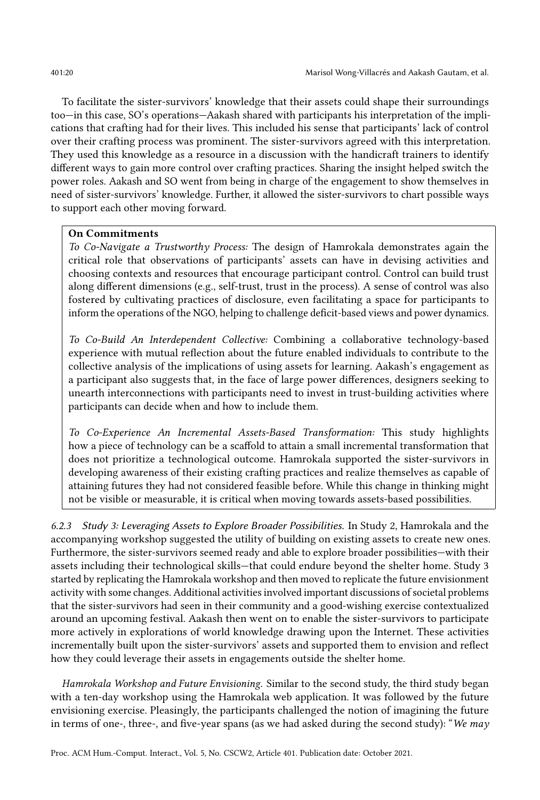To facilitate the sister-survivors' knowledge that their assets could shape their surroundings too—in this case, SO's operations—Aakash shared with participants his interpretation of the implications that crafting had for their lives. This included his sense that participants' lack of control over their crafting process was prominent. The sister-survivors agreed with this interpretation. They used this knowledge as a resource in a discussion with the handicraft trainers to identify different ways to gain more control over crafting practices. Sharing the insight helped switch the power roles. Aakash and SO went from being in charge of the engagement to show themselves in need of sister-survivors' knowledge. Further, it allowed the sister-survivors to chart possible ways to support each other moving forward.

#### On Commitments

To Co-Navigate a Trustworthy Process: The design of Hamrokala demonstrates again the critical role that observations of participants' assets can have in devising activities and choosing contexts and resources that encourage participant control. Control can build trust along different dimensions (e.g., self-trust, trust in the process). A sense of control was also fostered by cultivating practices of disclosure, even facilitating a space for participants to inform the operations of the NGO, helping to challenge deficit-based views and power dynamics.

To Co-Build An Interdependent Collective: Combining a collaborative technology-based experience with mutual reflection about the future enabled individuals to contribute to the collective analysis of the implications of using assets for learning. Aakash's engagement as a participant also suggests that, in the face of large power differences, designers seeking to unearth interconnections with participants need to invest in trust-building activities where participants can decide when and how to include them.

To Co-Experience An Incremental Assets-Based Transformation: This study highlights how a piece of technology can be a scaffold to attain a small incremental transformation that does not prioritize a technological outcome. Hamrokala supported the sister-survivors in developing awareness of their existing crafting practices and realize themselves as capable of attaining futures they had not considered feasible before. While this change in thinking might not be visible or measurable, it is critical when moving towards assets-based possibilities.

6.2.3 Study 3: Leveraging Assets to Explore Broader Possibilities. In Study 2, Hamrokala and the accompanying workshop suggested the utility of building on existing assets to create new ones. Furthermore, the sister-survivors seemed ready and able to explore broader possibilities—with their assets including their technological skills—that could endure beyond the shelter home. Study 3 started by replicating the Hamrokala workshop and then moved to replicate the future envisionment activity with some changes. Additional activities involved important discussions of societal problems that the sister-survivors had seen in their community and a good-wishing exercise contextualized around an upcoming festival. Aakash then went on to enable the sister-survivors to participate more actively in explorations of world knowledge drawing upon the Internet. These activities incrementally built upon the sister-survivors' assets and supported them to envision and reflect how they could leverage their assets in engagements outside the shelter home.

Hamrokala Workshop and Future Envisioning. Similar to the second study, the third study began with a ten-day workshop using the Hamrokala web application. It was followed by the future envisioning exercise. Pleasingly, the participants challenged the notion of imagining the future in terms of one-, three-, and five-year spans (as we had asked during the second study): "We may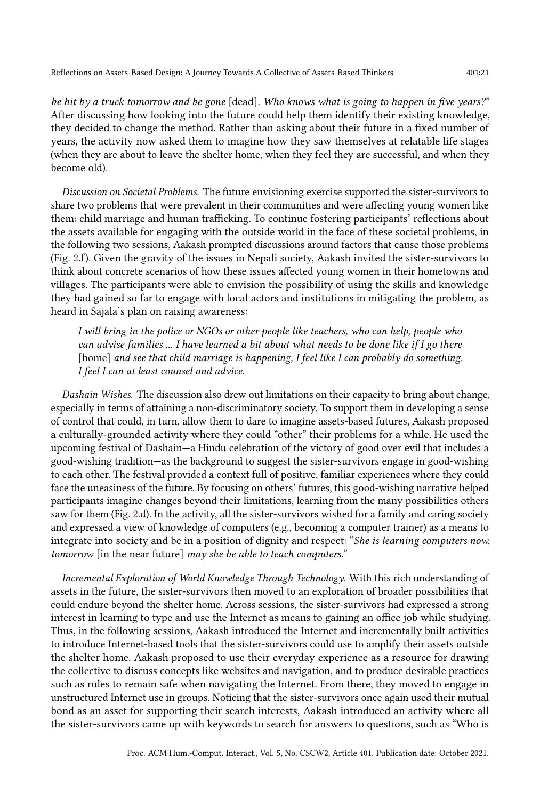be hit by a truck tomorrow and be gone [dead]. Who knows what is going to happen in five years?" After discussing how looking into the future could help them identify their existing knowledge, they decided to change the method. Rather than asking about their future in a fixed number of years, the activity now asked them to imagine how they saw themselves at relatable life stages (when they are about to leave the shelter home, when they feel they are successful, and when they become old).

Discussion on Societal Problems. The future envisioning exercise supported the sister-survivors to share two problems that were prevalent in their communities and were affecting young women like them: child marriage and human trafficking. To continue fostering participants' reflections about the assets available for engaging with the outside world in the face of these societal problems, in the following two sessions, Aakash prompted discussions around factors that cause those problems (Fig. [2.](#page-16-0)f). Given the gravity of the issues in Nepali society, Aakash invited the sister-survivors to think about concrete scenarios of how these issues affected young women in their hometowns and villages. The participants were able to envision the possibility of using the skills and knowledge they had gained so far to engage with local actors and institutions in mitigating the problem, as heard in Sajala's plan on raising awareness:

I will bring in the police or NGOs or other people like teachers, who can help, people who can advise families ... I have learned a bit about what needs to be done like if I go there [home] and see that child marriage is happening, I feel like I can probably do something. I feel I can at least counsel and advice.

Dashain Wishes. The discussion also drew out limitations on their capacity to bring about change, especially in terms of attaining a non-discriminatory society. To support them in developing a sense of control that could, in turn, allow them to dare to imagine assets-based futures, Aakash proposed a culturally-grounded activity where they could "other" their problems for a while. He used the upcoming festival of Dashain—a Hindu celebration of the victory of good over evil that includes a good-wishing tradition—as the background to suggest the sister-survivors engage in good-wishing to each other. The festival provided a context full of positive, familiar experiences where they could face the uneasiness of the future. By focusing on others' futures, this good-wishing narrative helped participants imagine changes beyond their limitations, learning from the many possibilities others saw for them (Fig. [2.](#page-16-0)d). In the activity, all the sister-survivors wished for a family and caring society and expressed a view of knowledge of computers (e.g., becoming a computer trainer) as a means to integrate into society and be in a position of dignity and respect: "She is learning computers now, tomorrow [in the near future] may she be able to teach computers."

Incremental Exploration of World Knowledge Through Technology. With this rich understanding of assets in the future, the sister-survivors then moved to an exploration of broader possibilities that could endure beyond the shelter home. Across sessions, the sister-survivors had expressed a strong interest in learning to type and use the Internet as means to gaining an office job while studying. Thus, in the following sessions, Aakash introduced the Internet and incrementally built activities to introduce Internet-based tools that the sister-survivors could use to amplify their assets outside the shelter home. Aakash proposed to use their everyday experience as a resource for drawing the collective to discuss concepts like websites and navigation, and to produce desirable practices such as rules to remain safe when navigating the Internet. From there, they moved to engage in unstructured Internet use in groups. Noticing that the sister-survivors once again used their mutual bond as an asset for supporting their search interests, Aakash introduced an activity where all the sister-survivors came up with keywords to search for answers to questions, such as "Who is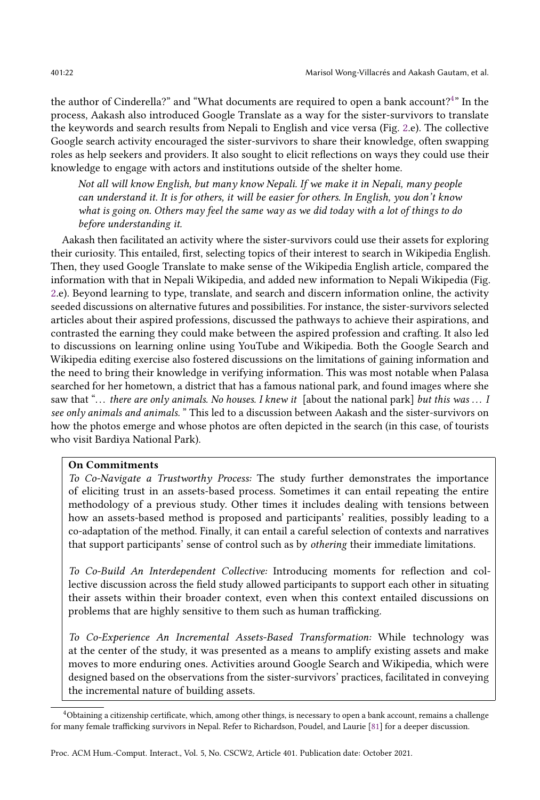the author of Cinderella?" and "What documents are required to open a bank account?<sup>[4](#page-21-0)</sup>" In the process, Aakash also introduced Google Translate as a way for the sister-survivors to translate the keywords and search results from Nepali to English and vice versa (Fig. [2.](#page-16-0)e). The collective Google search activity encouraged the sister-survivors to share their knowledge, often swapping roles as help seekers and providers. It also sought to elicit reflections on ways they could use their knowledge to engage with actors and institutions outside of the shelter home.

Not all will know English, but many know Nepali. If we make it in Nepali, many people can understand it. It is for others, it will be easier for others. In English, you don't know what is going on. Others may feel the same way as we did today with a lot of things to do before understanding it.

Aakash then facilitated an activity where the sister-survivors could use their assets for exploring their curiosity. This entailed, first, selecting topics of their interest to search in Wikipedia English. Then, they used Google Translate to make sense of the Wikipedia English article, compared the information with that in Nepali Wikipedia, and added new information to Nepali Wikipedia (Fig. [2.](#page-16-0)e). Beyond learning to type, translate, and search and discern information online, the activity seeded discussions on alternative futures and possibilities. For instance, the sister-survivors selected articles about their aspired professions, discussed the pathways to achieve their aspirations, and contrasted the earning they could make between the aspired profession and crafting. It also led to discussions on learning online using YouTube and Wikipedia. Both the Google Search and Wikipedia editing exercise also fostered discussions on the limitations of gaining information and the need to bring their knowledge in verifying information. This was most notable when Palasa searched for her hometown, a district that has a famous national park, and found images where she saw that "... there are only animals. No houses. I knew it [about the national park] but this was ... I see only animals and animals." This led to a discussion between Aakash and the sister-survivors on how the photos emerge and whose photos are often depicted in the search (in this case, of tourists who visit Bardiya National Park).

#### On Commitments

To Co-Navigate a Trustworthy Process: The study further demonstrates the importance of eliciting trust in an assets-based process. Sometimes it can entail repeating the entire methodology of a previous study. Other times it includes dealing with tensions between how an assets-based method is proposed and participants' realities, possibly leading to a co-adaptation of the method. Finally, it can entail a careful selection of contexts and narratives that support participants' sense of control such as by othering their immediate limitations.

To Co-Build An Interdependent Collective: Introducing moments for reflection and collective discussion across the field study allowed participants to support each other in situating their assets within their broader context, even when this context entailed discussions on problems that are highly sensitive to them such as human trafficking.

To Co-Experience An Incremental Assets-Based Transformation: While technology was at the center of the study, it was presented as a means to amplify existing assets and make moves to more enduring ones. Activities around Google Search and Wikipedia, which were designed based on the observations from the sister-survivors' practices, facilitated in conveying the incremental nature of building assets.

<span id="page-21-0"></span><sup>4</sup>Obtaining a citizenship certificate, which, among other things, is necessary to open a bank account, remains a challenge for many female trafficking survivors in Nepal. Refer to Richardson, Poudel, and Laurie [\[81\]](#page-30-20) for a deeper discussion.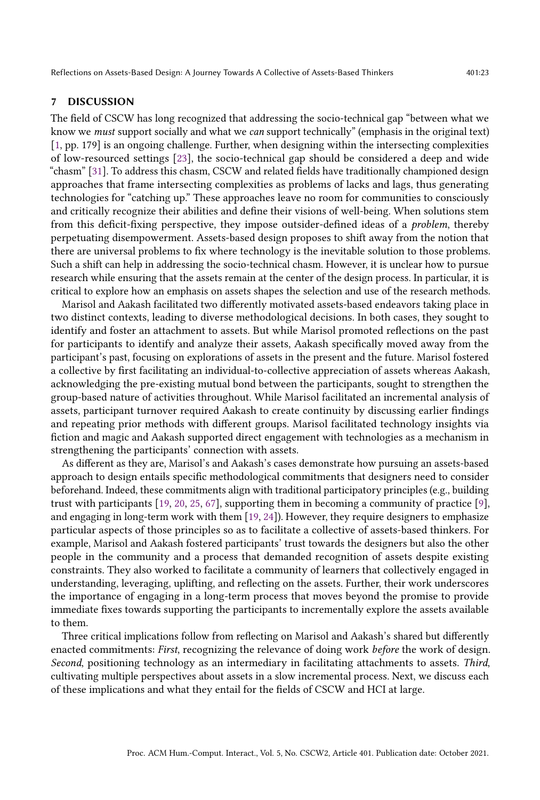# 7 DISCUSSION

The field of CSCW has long recognized that addressing the socio-technical gap "between what we know we must support socially and what we can support technically" (emphasis in the original text) [\[1,](#page-27-22) pp. 179] is an ongoing challenge. Further, when designing within the intersecting complexities of low-resourced settings [\[23\]](#page-27-9), the socio-technical gap should be considered a deep and wide "chasm" [\[31\]](#page-28-1). To address this chasm, CSCW and related fields have traditionally championed design approaches that frame intersecting complexities as problems of lacks and lags, thus generating technologies for "catching up." These approaches leave no room for communities to consciously and critically recognize their abilities and define their visions of well-being. When solutions stem from this deficit-fixing perspective, they impose outsider-defined ideas of a problem, thereby perpetuating disempowerment. Assets-based design proposes to shift away from the notion that there are universal problems to fix where technology is the inevitable solution to those problems. Such a shift can help in addressing the socio-technical chasm. However, it is unclear how to pursue research while ensuring that the assets remain at the center of the design process. In particular, it is critical to explore how an emphasis on assets shapes the selection and use of the research methods.

Marisol and Aakash facilitated two differently motivated assets-based endeavors taking place in two distinct contexts, leading to diverse methodological decisions. In both cases, they sought to identify and foster an attachment to assets. But while Marisol promoted reflections on the past for participants to identify and analyze their assets, Aakash specifically moved away from the participant's past, focusing on explorations of assets in the present and the future. Marisol fostered a collective by first facilitating an individual-to-collective appreciation of assets whereas Aakash, acknowledging the pre-existing mutual bond between the participants, sought to strengthen the group-based nature of activities throughout. While Marisol facilitated an incremental analysis of assets, participant turnover required Aakash to create continuity by discussing earlier findings and repeating prior methods with different groups. Marisol facilitated technology insights via fiction and magic and Aakash supported direct engagement with technologies as a mechanism in strengthening the participants' connection with assets.

As different as they are, Marisol's and Aakash's cases demonstrate how pursuing an assets-based approach to design entails specific methodological commitments that designers need to consider beforehand. Indeed, these commitments align with traditional participatory principles (e.g., building trust with participants [\[19,](#page-27-12) [20,](#page-27-23) [25,](#page-27-24) [67\]](#page-29-8), supporting them in becoming a community of practice [\[9\]](#page-27-25), and engaging in long-term work with them [\[19,](#page-27-12) [24\]](#page-27-5)). However, they require designers to emphasize particular aspects of those principles so as to facilitate a collective of assets-based thinkers. For example, Marisol and Aakash fostered participants' trust towards the designers but also the other people in the community and a process that demanded recognition of assets despite existing constraints. They also worked to facilitate a community of learners that collectively engaged in understanding, leveraging, uplifting, and reflecting on the assets. Further, their work underscores the importance of engaging in a long-term process that moves beyond the promise to provide immediate fixes towards supporting the participants to incrementally explore the assets available to them.

Three critical implications follow from reflecting on Marisol and Aakash's shared but differently enacted commitments: *First*, recognizing the relevance of doing work *before* the work of design. Second, positioning technology as an intermediary in facilitating attachments to assets. Third, cultivating multiple perspectives about assets in a slow incremental process. Next, we discuss each of these implications and what they entail for the fields of CSCW and HCI at large.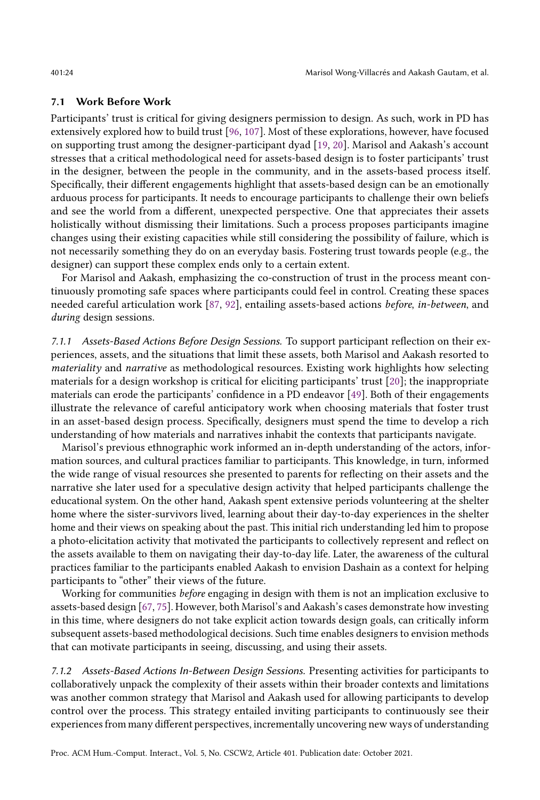#### 7.1 Work Before Work

Participants' trust is critical for giving designers permission to design. As such, work in PD has extensively explored how to build trust [\[96,](#page-30-21) [107\]](#page-31-6). Most of these explorations, however, have focused on supporting trust among the designer-participant dyad [\[19,](#page-27-12) [20\]](#page-27-23). Marisol and Aakash's account stresses that a critical methodological need for assets-based design is to foster participants' trust in the designer, between the people in the community, and in the assets-based process itself. Specifically, their different engagements highlight that assets-based design can be an emotionally arduous process for participants. It needs to encourage participants to challenge their own beliefs and see the world from a different, unexpected perspective. One that appreciates their assets holistically without dismissing their limitations. Such a process proposes participants imagine changes using their existing capacities while still considering the possibility of failure, which is not necessarily something they do on an everyday basis. Fostering trust towards people (e.g., the designer) can support these complex ends only to a certain extent.

For Marisol and Aakash, emphasizing the co-construction of trust in the process meant continuously promoting safe spaces where participants could feel in control. Creating these spaces needed careful articulation work [\[87,](#page-30-22) [92\]](#page-30-23), entailing assets-based actions before, in-between, and during design sessions.

7.1.1 Assets-Based Actions Before Design Sessions. To support participant reflection on their experiences, assets, and the situations that limit these assets, both Marisol and Aakash resorted to materiality and narrative as methodological resources. Existing work highlights how selecting materials for a design workshop is critical for eliciting participants' trust [\[20\]](#page-27-23); the inappropriate materials can erode the participants' confidence in a PD endeavor [\[49\]](#page-28-7). Both of their engagements illustrate the relevance of careful anticipatory work when choosing materials that foster trust in an asset-based design process. Specifically, designers must spend the time to develop a rich understanding of how materials and narratives inhabit the contexts that participants navigate.

Marisol's previous ethnographic work informed an in-depth understanding of the actors, information sources, and cultural practices familiar to participants. This knowledge, in turn, informed the wide range of visual resources she presented to parents for reflecting on their assets and the narrative she later used for a speculative design activity that helped participants challenge the educational system. On the other hand, Aakash spent extensive periods volunteering at the shelter home where the sister-survivors lived, learning about their day-to-day experiences in the shelter home and their views on speaking about the past. This initial rich understanding led him to propose a photo-elicitation activity that motivated the participants to collectively represent and reflect on the assets available to them on navigating their day-to-day life. Later, the awareness of the cultural practices familiar to the participants enabled Aakash to envision Dashain as a context for helping participants to "other" their views of the future.

Working for communities before engaging in design with them is not an implication exclusive to assets-based design [\[67,](#page-29-8) [75\]](#page-29-25). However, both Marisol's and Aakash's cases demonstrate how investing in this time, where designers do not take explicit action towards design goals, can critically inform subsequent assets-based methodological decisions. Such time enables designers to envision methods that can motivate participants in seeing, discussing, and using their assets.

7.1.2 Assets-Based Actions In-Between Design Sessions. Presenting activities for participants to collaboratively unpack the complexity of their assets within their broader contexts and limitations was another common strategy that Marisol and Aakash used for allowing participants to develop control over the process. This strategy entailed inviting participants to continuously see their experiences from many different perspectives, incrementally uncovering new ways of understanding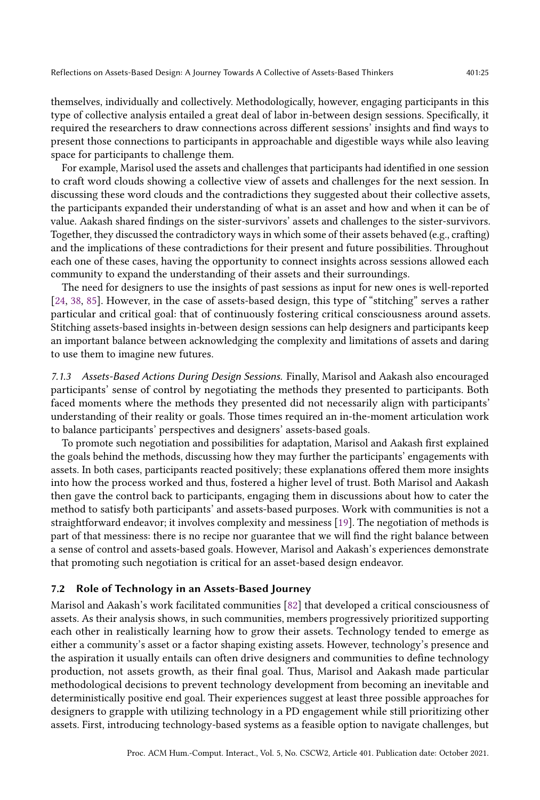themselves, individually and collectively. Methodologically, however, engaging participants in this type of collective analysis entailed a great deal of labor in-between design sessions. Specifically, it required the researchers to draw connections across different sessions' insights and find ways to present those connections to participants in approachable and digestible ways while also leaving space for participants to challenge them.

For example, Marisol used the assets and challenges that participants had identified in one session to craft word clouds showing a collective view of assets and challenges for the next session. In discussing these word clouds and the contradictions they suggested about their collective assets, the participants expanded their understanding of what is an asset and how and when it can be of value. Aakash shared findings on the sister-survivors' assets and challenges to the sister-survivors. Together, they discussed the contradictory ways in which some of their assets behaved (e.g., crafting) and the implications of these contradictions for their present and future possibilities. Throughout each one of these cases, having the opportunity to connect insights across sessions allowed each community to expand the understanding of their assets and their surroundings.

The need for designers to use the insights of past sessions as input for new ones is well-reported [\[24,](#page-27-5) [38,](#page-28-6) [85\]](#page-30-24). However, in the case of assets-based design, this type of "stitching" serves a rather particular and critical goal: that of continuously fostering critical consciousness around assets. Stitching assets-based insights in-between design sessions can help designers and participants keep an important balance between acknowledging the complexity and limitations of assets and daring to use them to imagine new futures.

7.1.3 Assets-Based Actions During Design Sessions. Finally, Marisol and Aakash also encouraged participants' sense of control by negotiating the methods they presented to participants. Both faced moments where the methods they presented did not necessarily align with participants' understanding of their reality or goals. Those times required an in-the-moment articulation work to balance participants' perspectives and designers' assets-based goals.

To promote such negotiation and possibilities for adaptation, Marisol and Aakash first explained the goals behind the methods, discussing how they may further the participants' engagements with assets. In both cases, participants reacted positively; these explanations offered them more insights into how the process worked and thus, fostered a higher level of trust. Both Marisol and Aakash then gave the control back to participants, engaging them in discussions about how to cater the method to satisfy both participants' and assets-based purposes. Work with communities is not a straightforward endeavor; it involves complexity and messiness [\[19\]](#page-27-12). The negotiation of methods is part of that messiness: there is no recipe nor guarantee that we will find the right balance between a sense of control and assets-based goals. However, Marisol and Aakash's experiences demonstrate that promoting such negotiation is critical for an asset-based design endeavor.

#### 7.2 Role of Technology in an Assets-Based Journey

Marisol and Aakash's work facilitated communities [\[82\]](#page-30-15) that developed a critical consciousness of assets. As their analysis shows, in such communities, members progressively prioritized supporting each other in realistically learning how to grow their assets. Technology tended to emerge as either a community's asset or a factor shaping existing assets. However, technology's presence and the aspiration it usually entails can often drive designers and communities to define technology production, not assets growth, as their final goal. Thus, Marisol and Aakash made particular methodological decisions to prevent technology development from becoming an inevitable and deterministically positive end goal. Their experiences suggest at least three possible approaches for designers to grapple with utilizing technology in a PD engagement while still prioritizing other assets. First, introducing technology-based systems as a feasible option to navigate challenges, but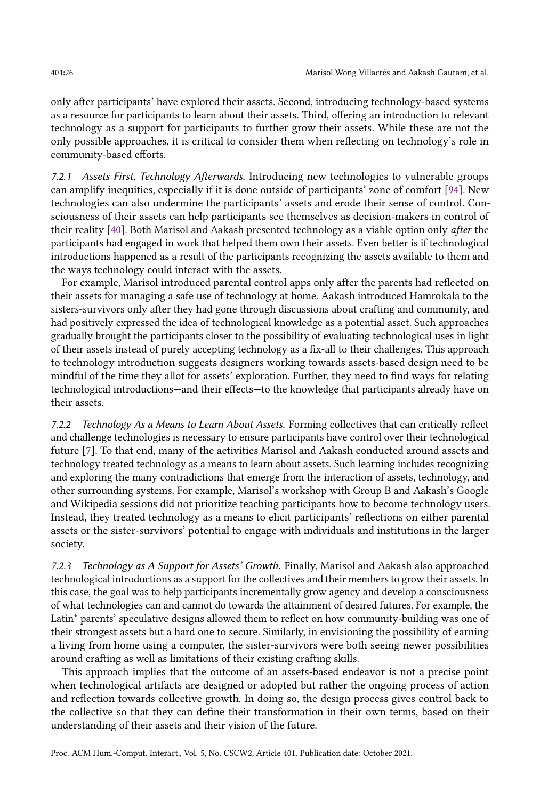only after participants' have explored their assets. Second, introducing technology-based systems as a resource for participants to learn about their assets. Third, offering an introduction to relevant technology as a support for participants to further grow their assets. While these are not the only possible approaches, it is critical to consider them when reflecting on technology's role in community-based efforts.

7.2.1 Assets First, Technology Afterwards. Introducing new technologies to vulnerable groups can amplify inequities, especially if it is done outside of participants' zone of comfort [\[94\]](#page-30-0). New technologies can also undermine the participants' assets and erode their sense of control. Consciousness of their assets can help participants see themselves as decision-makers in control of their reality [\[40\]](#page-28-13). Both Marisol and Aakash presented technology as a viable option only after the participants had engaged in work that helped them own their assets. Even better is if technological introductions happened as a result of the participants recognizing the assets available to them and the ways technology could interact with the assets.

For example, Marisol introduced parental control apps only after the parents had reflected on their assets for managing a safe use of technology at home. Aakash introduced Hamrokala to the sisters-survivors only after they had gone through discussions about crafting and community, and had positively expressed the idea of technological knowledge as a potential asset. Such approaches gradually brought the participants closer to the possibility of evaluating technological uses in light of their assets instead of purely accepting technology as a fix-all to their challenges. This approach to technology introduction suggests designers working towards assets-based design need to be mindful of the time they allot for assets' exploration. Further, they need to find ways for relating technological introductions—and their effects—to the knowledge that participants already have on their assets.

7.2.2 Technology As a Means to Learn About Assets. Forming collectives that can critically reflect and challenge technologies is necessary to ensure participants have control over their technological future [\[7\]](#page-27-7). To that end, many of the activities Marisol and Aakash conducted around assets and technology treated technology as a means to learn about assets. Such learning includes recognizing and exploring the many contradictions that emerge from the interaction of assets, technology, and other surrounding systems. For example, Marisol's workshop with Group B and Aakash's Google and Wikipedia sessions did not prioritize teaching participants how to become technology users. Instead, they treated technology as a means to elicit participants' reflections on either parental assets or the sister-survivors' potential to engage with individuals and institutions in the larger society.

7.2.3 Technology as A Support for Assets' Growth. Finally, Marisol and Aakash also approached technological introductions as a support for the collectives and their members to grow their assets. In this case, the goal was to help participants incrementally grow agency and develop a consciousness of what technologies can and cannot do towards the attainment of desired futures. For example, the Latin\* parents' speculative designs allowed them to reflect on how community-building was one of their strongest assets but a hard one to secure. Similarly, in envisioning the possibility of earning a living from home using a computer, the sister-survivors were both seeing newer possibilities around crafting as well as limitations of their existing crafting skills.

This approach implies that the outcome of an assets-based endeavor is not a precise point when technological artifacts are designed or adopted but rather the ongoing process of action and reflection towards collective growth. In doing so, the design process gives control back to the collective so that they can define their transformation in their own terms, based on their understanding of their assets and their vision of the future.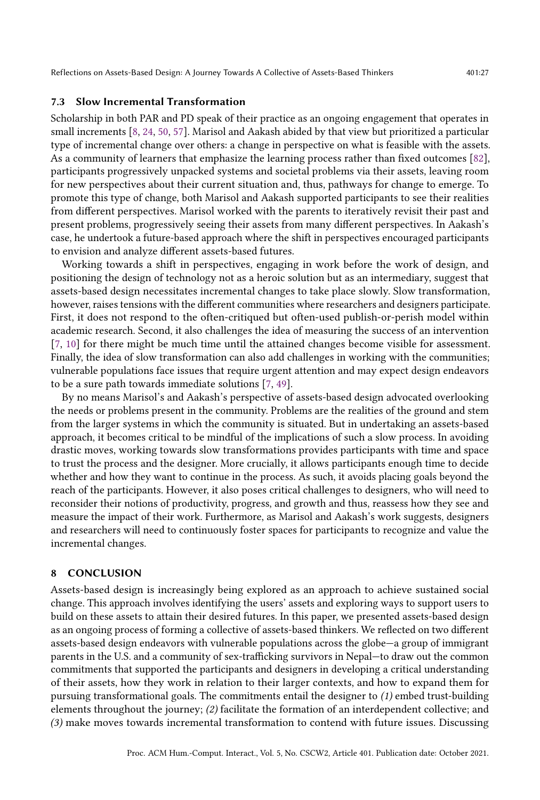Reflections on Assets-Based Design: A Journey Towards A Collective of Assets-Based Thinkers 401:27

# 7.3 Slow Incremental Transformation

Scholarship in both PAR and PD speak of their practice as an ongoing engagement that operates in small increments [\[8,](#page-27-10) [24,](#page-27-5) [50,](#page-28-10) [57\]](#page-29-26). Marisol and Aakash abided by that view but prioritized a particular type of incremental change over others: a change in perspective on what is feasible with the assets. As a community of learners that emphasize the learning process rather than fixed outcomes [\[82\]](#page-30-15), participants progressively unpacked systems and societal problems via their assets, leaving room for new perspectives about their current situation and, thus, pathways for change to emerge. To promote this type of change, both Marisol and Aakash supported participants to see their realities from different perspectives. Marisol worked with the parents to iteratively revisit their past and present problems, progressively seeing their assets from many different perspectives. In Aakash's case, he undertook a future-based approach where the shift in perspectives encouraged participants to envision and analyze different assets-based futures.

Working towards a shift in perspectives, engaging in work before the work of design, and positioning the design of technology not as a heroic solution but as an intermediary, suggest that assets-based design necessitates incremental changes to take place slowly. Slow transformation, however, raises tensions with the different communities where researchers and designers participate. First, it does not respond to the often-critiqued but often-used publish-or-perish model within academic research. Second, it also challenges the idea of measuring the success of an intervention [\[7,](#page-27-7) [10\]](#page-27-18) for there might be much time until the attained changes become visible for assessment. Finally, the idea of slow transformation can also add challenges in working with the communities; vulnerable populations face issues that require urgent attention and may expect design endeavors to be a sure path towards immediate solutions [\[7,](#page-27-7) [49\]](#page-28-7).

By no means Marisol's and Aakash's perspective of assets-based design advocated overlooking the needs or problems present in the community. Problems are the realities of the ground and stem from the larger systems in which the community is situated. But in undertaking an assets-based approach, it becomes critical to be mindful of the implications of such a slow process. In avoiding drastic moves, working towards slow transformations provides participants with time and space to trust the process and the designer. More crucially, it allows participants enough time to decide whether and how they want to continue in the process. As such, it avoids placing goals beyond the reach of the participants. However, it also poses critical challenges to designers, who will need to reconsider their notions of productivity, progress, and growth and thus, reassess how they see and measure the impact of their work. Furthermore, as Marisol and Aakash's work suggests, designers and researchers will need to continuously foster spaces for participants to recognize and value the incremental changes.

## 8 CONCLUSION

Assets-based design is increasingly being explored as an approach to achieve sustained social change. This approach involves identifying the users' assets and exploring ways to support users to build on these assets to attain their desired futures. In this paper, we presented assets-based design as an ongoing process of forming a collective of assets-based thinkers. We reflected on two different assets-based design endeavors with vulnerable populations across the globe—a group of immigrant parents in the U.S. and a community of sex-trafficking survivors in Nepal—to draw out the common commitments that supported the participants and designers in developing a critical understanding of their assets, how they work in relation to their larger contexts, and how to expand them for pursuing transformational goals. The commitments entail the designer to (1) embed trust-building elements throughout the journey; (2) facilitate the formation of an interdependent collective; and (3) make moves towards incremental transformation to contend with future issues. Discussing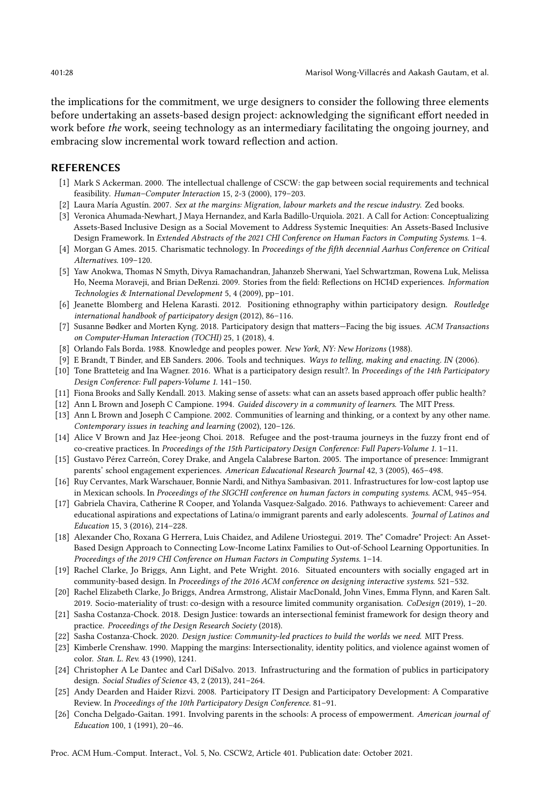the implications for the commitment, we urge designers to consider the following three elements before undertaking an assets-based design project: acknowledging the significant effort needed in work before the work, seeing technology as an intermediary facilitating the ongoing journey, and embracing slow incremental work toward reflection and action.

#### REFERENCES

- <span id="page-27-22"></span>[1] Mark S Ackerman. 2000. The intellectual challenge of CSCW: the gap between social requirements and technical feasibility. Human–Computer Interaction 15, 2-3 (2000), 179–203.
- <span id="page-27-20"></span>[2] Laura María Agustín. 2007. Sex at the margins: Migration, labour markets and the rescue industry. Zed books.
- <span id="page-27-4"></span>[3] Veronica Ahumada-Newhart, J Maya Hernandez, and Karla Badillo-Urquiola. 2021. A Call for Action: Conceptualizing Assets-Based Inclusive Design as a Social Movement to Address Systemic Inequities: An Assets-Based Inclusive Design Framework. In Extended Abstracts of the 2021 CHI Conference on Human Factors in Computing Systems. 1–4.
- <span id="page-27-21"></span>[4] Morgan G Ames. 2015. Charismatic technology. In Proceedings of the fifth decennial Aarhus Conference on Critical Alternatives. 109–120.
- <span id="page-27-15"></span>[5] Yaw Anokwa, Thomas N Smyth, Divya Ramachandran, Jahanzeb Sherwani, Yael Schwartzman, Rowena Luk, Melissa Ho, Neema Moraveji, and Brian DeRenzi. 2009. Stories from the field: Reflections on HCI4D experiences. Information Technologies & International Development 5, 4 (2009), pp–101.
- <span id="page-27-11"></span>[6] Jeanette Blomberg and Helena Karasti. 2012. Positioning ethnography within participatory design. Routledge international handbook of participatory design (2012), 86–116.
- <span id="page-27-7"></span>[7] Susanne Bødker and Morten Kyng. 2018. Participatory design that matters—Facing the big issues. ACM Transactions on Computer-Human Interaction (TOCHI) 25, 1 (2018), 4.
- <span id="page-27-10"></span>[8] Orlando Fals Borda. 1988. Knowledge and peoples power. New York, NY: New Horizons (1988).
- <span id="page-27-25"></span>[9] E Brandt, T Binder, and EB Sanders. 2006. Tools and techniques. Ways to telling, making and enacting. IN (2006).
- <span id="page-27-18"></span>[10] Tone Bratteteig and Ina Wagner. 2016. What is a participatory design result?. In Proceedings of the 14th Participatory Design Conference: Full papers-Volume 1. 141–150.
- <span id="page-27-1"></span>[11] Fiona Brooks and Sally Kendall. 2013. Making sense of assets: what can an assets based approach offer public health?
- <span id="page-27-16"></span>[12] Ann L Brown and Joseph C Campione. 1994. Guided discovery in a community of learners. The MIT Press.
- <span id="page-27-17"></span>[13] Ann L Brown and Joseph C Campione. 2002. Communities of learning and thinking, or a context by any other name. Contemporary issues in teaching and learning (2002), 120–126.
- <span id="page-27-8"></span>[14] Alice V Brown and Jaz Hee-jeong Choi. 2018. Refugee and the post-trauma journeys in the fuzzy front end of co-creative practices. In Proceedings of the 15th Participatory Design Conference: Full Papers-Volume 1. 1–11.
- <span id="page-27-13"></span>[15] Gustavo Pérez Carreón, Corey Drake, and Angela Calabrese Barton. 2005. The importance of presence: Immigrant parents' school engagement experiences. American Educational Research Journal 42, 3 (2005), 465–498.
- <span id="page-27-0"></span>[16] Ruy Cervantes, Mark Warschauer, Bonnie Nardi, and Nithya Sambasivan. 2011. Infrastructures for low-cost laptop use in Mexican schools. In Proceedings of the SIGCHI conference on human factors in computing systems. ACM, 945–954.
- <span id="page-27-19"></span>[17] Gabriela Chavira, Catherine R Cooper, and Yolanda Vasquez-Salgado. 2016. Pathways to achievement: Career and educational aspirations and expectations of Latina/o immigrant parents and early adolescents. Journal of Latinos and Education 15, 3 (2016), 214–228.
- <span id="page-27-2"></span>[18] Alexander Cho, Roxana G Herrera, Luis Chaidez, and Adilene Uriostegui. 2019. The" Comadre" Project: An Asset-Based Design Approach to Connecting Low-Income Latinx Families to Out-of-School Learning Opportunities. In Proceedings of the 2019 CHI Conference on Human Factors in Computing Systems. 1–14.
- <span id="page-27-12"></span>[19] Rachel Clarke, Jo Briggs, Ann Light, and Pete Wright. 2016. Situated encounters with socially engaged art in community-based design. In Proceedings of the 2016 ACM conference on designing interactive systems. 521–532.
- <span id="page-27-23"></span>[20] Rachel Elizabeth Clarke, Jo Briggs, Andrea Armstrong, Alistair MacDonald, John Vines, Emma Flynn, and Karen Salt. 2019. Socio-materiality of trust: co-design with a resource limited community organisation. CoDesign (2019), 1–20.
- <span id="page-27-3"></span>[21] Sasha Costanza-Chock. 2018. Design Justice: towards an intersectional feminist framework for design theory and practice. Proceedings of the Design Research Society (2018).
- <span id="page-27-6"></span>[22] Sasha Costanza-Chock. 2020. Design justice: Community-led practices to build the worlds we need. MIT Press.
- <span id="page-27-9"></span>[23] Kimberle Crenshaw. 1990. Mapping the margins: Intersectionality, identity politics, and violence against women of color. Stan. L. Rev. 43 (1990), 1241.
- <span id="page-27-5"></span>[24] Christopher A Le Dantec and Carl DiSalvo. 2013. Infrastructuring and the formation of publics in participatory design. Social Studies of Science 43, 2 (2013), 241–264.
- <span id="page-27-24"></span>[25] Andy Dearden and Haider Rizvi. 2008. Participatory IT Design and Participatory Development: A Comparative Review. In Proceedings of the 10th Participatory Design Conference. 81–91.
- <span id="page-27-14"></span>[26] Concha Delgado-Gaitan. 1991. Involving parents in the schools: A process of empowerment. American journal of Education 100, 1 (1991), 20–46.

Proc. ACM Hum.-Comput. Interact., Vol. 5, No. CSCW2, Article 401. Publication date: October 2021.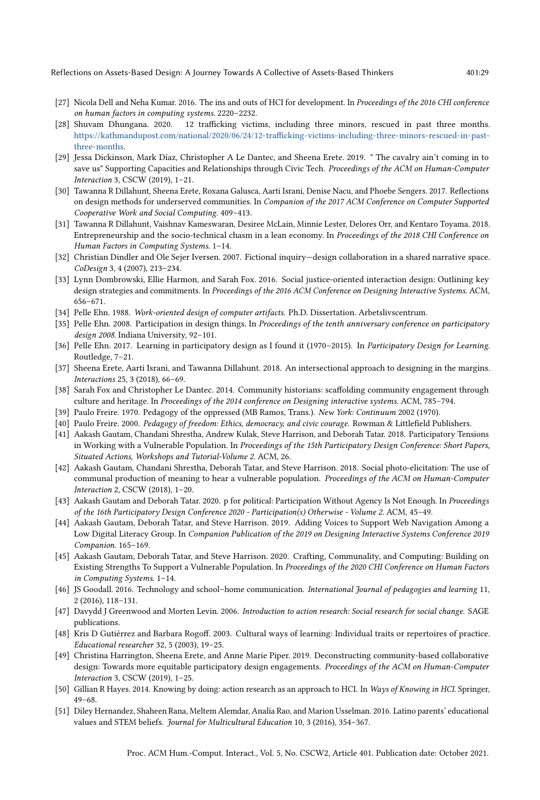Reflections on Assets-Based Design: A Journey Towards A Collective of Assets-Based Thinkers 401:29

- <span id="page-28-0"></span>[27] Nicola Dell and Neha Kumar. 2016. The ins and outs of HCI for development. In Proceedings of the 2016 CHI conference on human factors in computing systems. 2220–2232.
- <span id="page-28-22"></span>[28] Shuvam Dhungana. 2020. 12 trafficking victims, including three minors, rescued in past three months. [https://kathmandupost.com/national/2020/06/24/12-trafficking-victims-including-three-minors-rescued-in-past](https://kathmandupost.com/national/2020/06/24/12-trafficking-victims-including-three-minors-rescued-in-past-three-months)[three-months.](https://kathmandupost.com/national/2020/06/24/12-trafficking-victims-including-three-minors-rescued-in-past-three-months)
- <span id="page-28-2"></span>[29] Jessa Dickinson, Mark Díaz, Christopher A Le Dantec, and Sheena Erete. 2019. " The cavalry ain't coming in to save us" Supporting Capacities and Relationships through Civic Tech. Proceedings of the ACM on Human-Computer Interaction 3, CSCW (2019), 1–21.
- <span id="page-28-16"></span>[30] Tawanna R Dillahunt, Sheena Erete, Roxana Galusca, Aarti Israni, Denise Nacu, and Phoebe Sengers. 2017. Reflections on design methods for underserved communities. In Companion of the 2017 ACM Conference on Computer Supported Cooperative Work and Social Computing. 409–413.
- <span id="page-28-1"></span>[31] Tawanna R Dillahunt, Vaishnav Kameswaran, Desiree McLain, Minnie Lester, Delores Orr, and Kentaro Toyama. 2018. Entrepreneurship and the socio-technical chasm in a lean economy. In Proceedings of the 2018 CHI Conference on Human Factors in Computing Systems. 1–14.
- <span id="page-28-21"></span>[32] Christian Dindler and Ole Sejer Iversen. 2007. Fictional inquiry—design collaboration in a shared narrative space. CoDesign 3, 4 (2007), 213–234.
- <span id="page-28-5"></span>[33] Lynn Dombrowski, Ellie Harmon, and Sarah Fox. 2016. Social justice-oriented interaction design: Outlining key design strategies and commitments. In Proceedings of the 2016 ACM Conference on Designing Interactive Systems. ACM, 656–671.
- <span id="page-28-4"></span>[34] Pelle Ehn. 1988. Work-oriented design of computer artifacts. Ph.D. Dissertation. Arbetslivscentrum.
- <span id="page-28-15"></span>[35] Pelle Ehn. 2008. Participation in design things. In Proceedings of the tenth anniversary conference on participatory design 2008. Indiana University, 92–101.
- <span id="page-28-14"></span>[36] Pelle Ehn. 2017. Learning in participatory design as I found it (1970–2015). In Participatory Design for Learning. Routledge, 7–21.
- <span id="page-28-9"></span>[37] Sheena Erete, Aarti Israni, and Tawanna Dillahunt. 2018. An intersectional approach to designing in the margins. Interactions 25, 3 (2018), 66–69.
- <span id="page-28-6"></span>[38] Sarah Fox and Christopher Le Dantec. 2014. Community historians: scaffolding community engagement through culture and heritage. In Proceedings of the 2014 conference on Designing interactive systems. ACM, 785–794.
- <span id="page-28-12"></span>[39] Paulo Freire. 1970. Pedagogy of the oppressed (MB Ramos, Trans.). New York: Continuum 2002 (1970).
- <span id="page-28-13"></span>[40] Paulo Freire. 2000. Pedagogy of freedom: Ethics, democracy, and civic courage. Rowman & Littlefield Publishers.
- <span id="page-28-17"></span>[41] Aakash Gautam, Chandani Shrestha, Andrew Kulak, Steve Harrison, and Deborah Tatar. 2018. Participatory Tensions in Working with a Vulnerable Population. In Proceedings of the 15th Participatory Design Conference: Short Papers, Situated Actions, Workshops and Tutorial-Volume 2. ACM, 26.
- [42] Aakash Gautam, Chandani Shrestha, Deborah Tatar, and Steve Harrison. 2018. Social photo-elicitation: The use of communal production of meaning to hear a vulnerable population. Proceedings of the ACM on Human-Computer Interaction 2, CSCW (2018), 1–20.
- <span id="page-28-11"></span>[43] Aakash Gautam and Deborah Tatar. 2020. p for political: Participation Without Agency Is Not Enough. In Proceedings of the 16th Participatory Design Conference 2020 - Participation(s) Otherwise - Volume 2. ACM, 45–49.
- [44] Aakash Gautam, Deborah Tatar, and Steve Harrison. 2019. Adding Voices to Support Web Navigation Among a Low Digital Literacy Group. In Companion Publication of the 2019 on Designing Interactive Systems Conference 2019 Companion. 165–169.
- <span id="page-28-3"></span>[45] Aakash Gautam, Deborah Tatar, and Steve Harrison. 2020. Crafting, Communality, and Computing: Building on Existing Strengths To Support a Vulnerable Population. In Proceedings of the 2020 CHI Conference on Human Factors in Computing Systems. 1–14.
- <span id="page-28-19"></span>[46] JS Goodall. 2016. Technology and school–home communication. International Journal of pedagogies and learning 11, 2 (2016), 118–131.
- <span id="page-28-8"></span>[47] Davydd J Greenwood and Morten Levin. 2006. Introduction to action research: Social research for social change. SAGE publications.
- <span id="page-28-20"></span>[48] Kris D Gutiérrez and Barbara Rogoff. 2003. Cultural ways of learning: Individual traits or repertoires of practice. Educational researcher 32, 5 (2003), 19–25.
- <span id="page-28-7"></span>[49] Christina Harrington, Sheena Erete, and Anne Marie Piper. 2019. Deconstructing community-based collaborative design: Towards more equitable participatory design engagements. Proceedings of the ACM on Human-Computer Interaction 3, CSCW (2019), 1–25.
- <span id="page-28-10"></span>[50] Gillian R Hayes. 2014. Knowing by doing: action research as an approach to HCI. In Ways of Knowing in HCI. Springer, 49–68.
- <span id="page-28-18"></span>[51] Diley Hernandez, Shaheen Rana, Meltem Alemdar, Analía Rao, and Marion Usselman. 2016. Latino parents' educational values and STEM beliefs. Journal for Multicultural Education 10, 3 (2016), 354–367.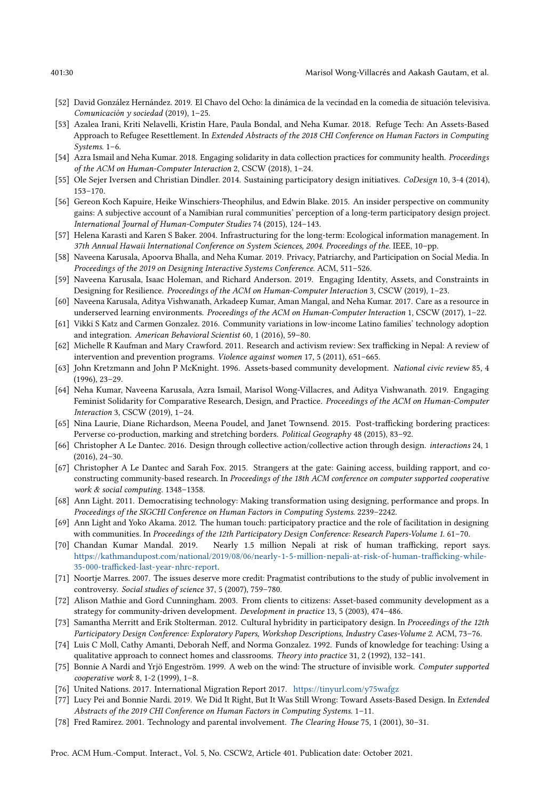- <span id="page-29-21"></span>[52] David González Hernández. 2019. El Chavo del Ocho: la dinámica de la vecindad en la comedia de situación televisiva. Comunicación y sociedad (2019), 1–25.
- <span id="page-29-5"></span>[53] Azalea Irani, Kriti Nelavelli, Kristin Hare, Paula Bondal, and Neha Kumar. 2018. Refuge Tech: An Assets-Based Approach to Refugee Resettlement. In Extended Abstracts of the 2018 CHI Conference on Human Factors in Computing Systems. 1–6.
- <span id="page-29-13"></span>[54] Azra Ismail and Neha Kumar. 2018. Engaging solidarity in data collection practices for community health. Proceedings of the ACM on Human-Computer Interaction 2, CSCW (2018), 1–24.
- <span id="page-29-12"></span>[55] Ole Sejer Iversen and Christian Dindler. 2014. Sustaining participatory design initiatives. CoDesign 10, 3-4 (2014), 153–170.
- <span id="page-29-10"></span>[56] Gereon Koch Kapuire, Heike Winschiers-Theophilus, and Edwin Blake. 2015. An insider perspective on community gains: A subjective account of a Namibian rural communities' perception of a long-term participatory design project. International Journal of Human-Computer Studies 74 (2015), 124–143.
- <span id="page-29-26"></span>[57] Helena Karasti and Karen S Baker. 2004. Infrastructuring for the long-term: Ecological information management. In 37th Annual Hawaii International Conference on System Sciences, 2004. Proceedings of the. IEEE, 10–pp.
- <span id="page-29-9"></span>[58] Naveena Karusala, Apoorva Bhalla, and Neha Kumar. 2019. Privacy, Patriarchy, and Participation on Social Media. In Proceedings of the 2019 on Designing Interactive Systems Conference. ACM, 511–526.
- <span id="page-29-14"></span>[59] Naveena Karusala, Isaac Holeman, and Richard Anderson. 2019. Engaging Identity, Assets, and Constraints in Designing for Resilience. Proceedings of the ACM on Human-Computer Interaction 3, CSCW (2019), 1–23.
- <span id="page-29-4"></span>[60] Naveena Karusala, Aditya Vishwanath, Arkadeep Kumar, Aman Mangal, and Neha Kumar. 2017. Care as a resource in underserved learning environments. Proceedings of the ACM on Human-Computer Interaction 1, CSCW (2017), 1-22.
- <span id="page-29-17"></span>[61] Vikki S Katz and Carmen Gonzalez. 2016. Community variations in low-income Latino families' technology adoption and integration. American Behavioral Scientist 60, 1 (2016), 59–80.
- <span id="page-29-23"></span>[62] Michelle R Kaufman and Mary Crawford. 2011. Research and activism review: Sex trafficking in Nepal: A review of intervention and prevention programs. Violence against women 17, 5 (2011), 651–665.
- <span id="page-29-2"></span>[63] John Kretzmann and John P McKnight. 1996. Assets-based community development. National civic review 85, 4 (1996), 23–29.
- <span id="page-29-6"></span>[64] Neha Kumar, Naveena Karusala, Azra Ismail, Marisol Wong-Villacres, and Aditya Vishwanath. 2019. Engaging Feminist Solidarity for Comparative Research, Design, and Practice. Proceedings of the ACM on Human-Computer Interaction 3, CSCW (2019), 1–24.
- <span id="page-29-24"></span>[65] Nina Laurie, Diane Richardson, Meena Poudel, and Janet Townsend. 2015. Post-trafficking bordering practices: Perverse co-production, marking and stretching borders. Political Geography 48 (2015), 83–92.
- <span id="page-29-7"></span>[66] Christopher A Le Dantec. 2016. Design through collective action/collective action through design. interactions 24, 1 (2016), 24–30.
- <span id="page-29-8"></span>[67] Christopher A Le Dantec and Sarah Fox. 2015. Strangers at the gate: Gaining access, building rapport, and coconstructing community-based research. In Proceedings of the 18th ACM conference on computer supported cooperative work & social computing. 1348–1358.
- <span id="page-29-15"></span>[68] Ann Light. 2011. Democratising technology: Making transformation using designing, performance and props. In Proceedings of the SIGCHI Conference on Human Factors in Computing Systems. 2239–2242.
- <span id="page-29-16"></span>[69] Ann Light and Yoko Akama. 2012. The human touch: participatory practice and the role of facilitation in designing with communities. In Proceedings of the 12th Participatory Design Conference: Research Papers-Volume 1. 61-70.
- <span id="page-29-22"></span>[70] Chandan Kumar Mandal. 2019. Nearly 1.5 million Nepali at risk of human trafficking, report says. [https://kathmandupost.com/national/2019/08/06/nearly-1-5-million-nepali-at-risk-of-human-trafficking-while-](https://kathmandupost.com/national/2019/08/06/nearly-1-5-million-nepali-at-risk-of-human-trafficking-while-35-000-trafficked-last-year-nhrc-report)[35-000-trafficked-last-year-nhrc-report.](https://kathmandupost.com/national/2019/08/06/nearly-1-5-million-nepali-at-risk-of-human-trafficking-while-35-000-trafficked-last-year-nhrc-report)
- <span id="page-29-18"></span>[71] Noortje Marres. 2007. The issues deserve more credit: Pragmatist contributions to the study of public involvement in controversy. Social studies of science 37, 5 (2007), 759–780.
- <span id="page-29-3"></span>[72] Alison Mathie and Gord Cunningham. 2003. From clients to citizens: Asset-based community development as a strategy for community-driven development. Development in practice 13, 5 (2003), 474–486.
- <span id="page-29-11"></span>[73] Samantha Merritt and Erik Stolterman. 2012. Cultural hybridity in participatory design. In Proceedings of the 12th Participatory Design Conference: Exploratory Papers, Workshop Descriptions, Industry Cases-Volume 2. ACM, 73–76.
- <span id="page-29-1"></span>[74] Luis C Moll, Cathy Amanti, Deborah Neff, and Norma Gonzalez. 1992. Funds of knowledge for teaching: Using a qualitative approach to connect homes and classrooms. Theory into practice 31, 2 (1992), 132-141.
- <span id="page-29-25"></span>[75] Bonnie A Nardi and Yrjö Engeström. 1999. A web on the wind: The structure of invisible work. Computer supported cooperative work 8, 1-2 (1999), 1–8.
- <span id="page-29-19"></span>[76] United Nations. 2017. International Migration Report 2017. <https://tinyurl.com/y75wafgz>
- <span id="page-29-0"></span>[77] Lucy Pei and Bonnie Nardi. 2019. We Did It Right, But It Was Still Wrong: Toward Assets-Based Design. In Extended Abstracts of the 2019 CHI Conference on Human Factors in Computing Systems. 1–11.
- <span id="page-29-20"></span>[78] Fred Ramirez. 2001. Technology and parental involvement. The Clearing House 75, 1 (2001), 30–31.

Proc. ACM Hum.-Comput. Interact., Vol. 5, No. CSCW2, Article 401. Publication date: October 2021.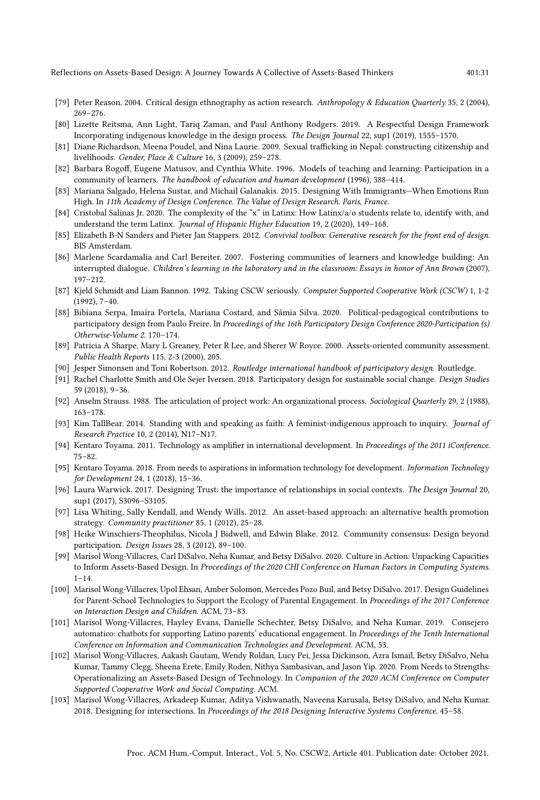Reflections on Assets-Based Design: A Journey Towards A Collective of Assets-Based Thinkers 401:31

- <span id="page-30-12"></span>[79] Peter Reason. 2004. Critical design ethnography as action research. Anthropology & Education Quarterly 35, 2 (2004), 269–276.
- <span id="page-30-9"></span>[80] Lizette Reitsma, Ann Light, Tariq Zaman, and Paul Anthony Rodgers. 2019. A Respectful Design Framework Incorporating indigenous knowledge in the design process. The Design Journal 22, sup1 (2019), 1555–1570.
- <span id="page-30-20"></span>[81] Diane Richardson, Meena Poudel, and Nina Laurie. 2009. Sexual trafficking in Nepal: constructing citizenship and livelihoods. Gender, Place & Culture 16, 3 (2009), 259–278.
- <span id="page-30-15"></span>[82] Barbara Rogoff, Eugene Matusov, and Cynthia White. 1996. Models of teaching and learning: Participation in a community of learners. The handbook of education and human development (1996), 388–414.
- <span id="page-30-19"></span>[83] Mariana Salgado, Helena Sustar, and Michail Galanakis. 2015. Designing With Immigrants—When Emotions Run High. In 11th Academy of Design Conference. The Value of Design Research. Paris, France.
- <span id="page-30-6"></span>[84] Cristobal Salinas Jr. 2020. The complexity of the "x" in Latinx: How Latinx/a/o students relate to, identify with, and understand the term Latinx. Journal of Hispanic Higher Education 19, 2 (2020), 149-168.
- <span id="page-30-24"></span>[85] Elizabeth B-N Sanders and Pieter Jan Stappers. 2012. Convivial toolbox: Generative research for the front end of design. BIS Amsterdam.
- <span id="page-30-16"></span>[86] Marlene Scardamalia and Carl Bereiter. 2007. Fostering communities of learners and knowledge building: An interrupted dialogue. Children's learning in the laboratory and in the classroom: Essays in honor of Ann Brown (2007), 197–212.
- <span id="page-30-22"></span>[87] Kjeld Schmidt and Liam Bannon. 1992. Taking CSCW seriously. Computer Supported Cooperative Work (CSCW) 1, 1-2 (1992), 7–40.
- <span id="page-30-8"></span>[88] Bibiana Serpa, Imaíra Portela, Mariana Costard, and Sâmia Silva. 2020. Political-pedagogical contributions to participatory design from Paulo Freire. In Proceedings of the 16th Participatory Design Conference 2020-Participation (s) Otherwise-Volume 2. 170–174.
- <span id="page-30-2"></span>[89] Patricia A Sharpe, Mary L Greaney, Peter R Lee, and Sherer W Royce. 2000. Assets-oriented community assessment. Public Health Reports 115, 2-3 (2000), 205.
- <span id="page-30-13"></span>[90] Jesper Simonsen and Toni Robertson. 2012. Routledge international handbook of participatory design. Routledge.
- <span id="page-30-17"></span>[91] Rachel Charlotte Smith and Ole Sejer Iversen. 2018. Participatory design for sustainable social change. Design Studies 59 (2018), 9–36.
- <span id="page-30-23"></span>[92] Anselm Strauss. 1988. The articulation of project work: An organizational process. Sociological Quarterly 29, 2 (1988), 163–178.
- <span id="page-30-7"></span>[93] Kim TallBear. 2014. Standing with and speaking as faith: A feminist-indigenous approach to inquiry. Journal of Research Practice 10, 2 (2014), N17–N17.
- <span id="page-30-0"></span>[94] Kentaro Toyama. 2011. Technology as amplifier in international development. In Proceedings of the 2011 iConference. 75–82.
- <span id="page-30-3"></span>[95] Kentaro Toyama. 2018. From needs to aspirations in information technology for development. Information Technology for Development 24, 1 (2018), 15–36.
- <span id="page-30-21"></span>[96] Laura Warwick. 2017. Designing Trust: the importance of relationships in social contexts. The Design Journal 20, sup1 (2017), S3096–S3105.
- <span id="page-30-11"></span>[97] Lisa Whiting, Sally Kendall, and Wendy Wills. 2012. An asset-based approach: an alternative health promotion strategy. Community practitioner 85, 1 (2012), 25–28.
- <span id="page-30-10"></span>[98] Heike Winschiers-Theophilus, Nicola J Bidwell, and Edwin Blake. 2012. Community consensus: Design beyond participation. Design Issues 28, 3 (2012), 89–100.
- <span id="page-30-4"></span>[99] Marisol Wong-Villacres, Carl DiSalvo, Neha Kumar, and Betsy DiSalvo. 2020. Culture in Action: Unpacking Capacities to Inform Assets-Based Design. In Proceedings of the 2020 CHI Conference on Human Factors in Computing Systems.  $1 - 14.$
- <span id="page-30-18"></span>[100] Marisol Wong-Villacres, Upol Ehsan, Amber Solomon, Mercedes Pozo Buil, and Betsy DiSalvo. 2017. Design Guidelines for Parent-School Technologies to Support the Ecology of Parental Engagement. In Proceedings of the 2017 Conference on Interaction Design and Children. ACM, 73–83.
- <span id="page-30-14"></span>[101] Marisol Wong-Villacres, Hayley Evans, Danielle Schechter, Betsy DiSalvo, and Neha Kumar. 2019. Consejero automatico: chatbots for supporting Latino parents' educational engagement. In Proceedings of the Tenth International Conference on Information and Communication Technologies and Development. ACM, 53.
- <span id="page-30-5"></span>[102] Marisol Wong-Villacres, Aakash Gautam, Wendy Roldan, Lucy Pei, Jessa Dickinson, Azra Ismail, Betsy DiSalvo, Neha Kumar, Tammy Clegg, Sheena Erete, Emily Roden, Nithya Sambasivan, and Jason Yip. 2020. From Needs to Strengths: Operationalizing an Assets-Based Design of Technology. In Companion of the 2020 ACM Conference on Computer Supported Cooperative Work and Social Computing. ACM.
- <span id="page-30-1"></span>[103] Marisol Wong-Villacres, Arkadeep Kumar, Aditya Vishwanath, Naveena Karusala, Betsy DiSalvo, and Neha Kumar. 2018. Designing for intersections. In Proceedings of the 2018 Designing Interactive Systems Conference. 45–58.